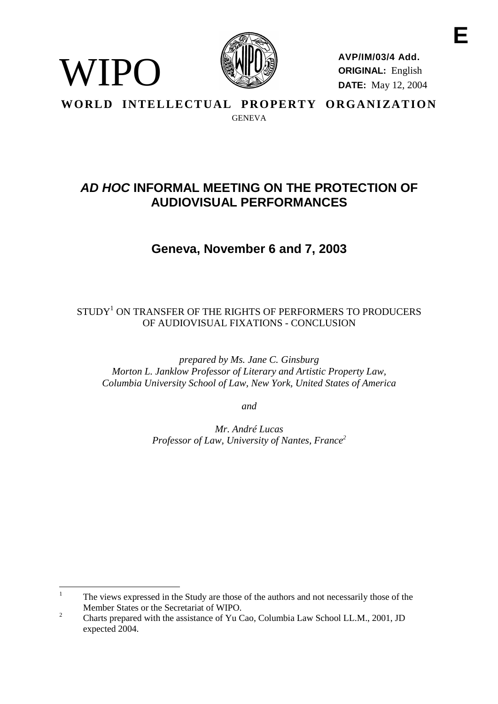

WIPO

**AVP/IM/03/4 Add. ORIGINAL:** English **DATE:** May 12, 2004

**WORLD INTELLECTUAL PROPERTY ORGANIZATION GENEVA** 

# **AD HOC INFORMAL MEETING ON THE PROTECTION OF AUDIOVISUAL PERFORMANCES**

**Geneva, November 6 and 7, 2003**

# $\mathop{\rm STUDY^1}$  ON TRANSFER OF THE RIGHTS OF PERFORMERS TO PRODUCERS OF AUDIOVISUAL FIXATIONS - CONCLUSION

*prepared by Ms. Jane C. Ginsburg Morton L. Janklow Professor of Literary and Artistic Property Law, Columbia University School of Law, New York, United States of America*

*and*

*Mr. André Lucas Professor of Law, University of Nantes, France2*

<sup>&</sup>lt;sup>1</sup> The views expressed in the Study are those of the authors and not necessarily those of the

Member States or the Secretariat of WIPO.<br><sup>2</sup> Charts prepared with the assistance of Yu Cao, Columbia Law School LL.M., 2001, JD expected 2004.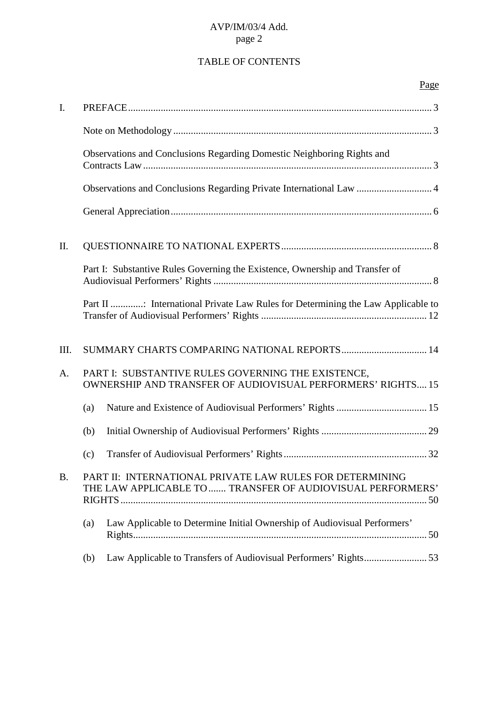# TABLE OF CONTENTS

|           |                                                                                                                          | Page |
|-----------|--------------------------------------------------------------------------------------------------------------------------|------|
| I.        |                                                                                                                          |      |
|           |                                                                                                                          |      |
|           | Observations and Conclusions Regarding Domestic Neighboring Rights and                                                   |      |
|           | Observations and Conclusions Regarding Private International Law  4                                                      |      |
|           |                                                                                                                          |      |
| II.       |                                                                                                                          |      |
|           | Part I: Substantive Rules Governing the Existence, Ownership and Transfer of                                             |      |
|           | Part II : International Private Law Rules for Determining the Law Applicable to                                          |      |
| III.      | SUMMARY CHARTS COMPARING NATIONAL REPORTS 14                                                                             |      |
| A.        | PART I: SUBSTANTIVE RULES GOVERNING THE EXISTENCE,<br><b>OWNERSHIP AND TRANSFER OF AUDIOVISUAL PERFORMERS' RIGHTS 15</b> |      |
|           | (a)                                                                                                                      |      |
|           | (b)                                                                                                                      |      |
|           | (c)                                                                                                                      |      |
| <b>B.</b> | PART II: INTERNATIONAL PRIVATE LAW RULES FOR DETERMINING<br>THE LAW APPLICABLE TO  TRANSFER OF AUDIOVISUAL PERFORMERS'   |      |
|           | Law Applicable to Determine Initial Ownership of Audiovisual Performers'<br>(a)                                          |      |
|           | (b)                                                                                                                      |      |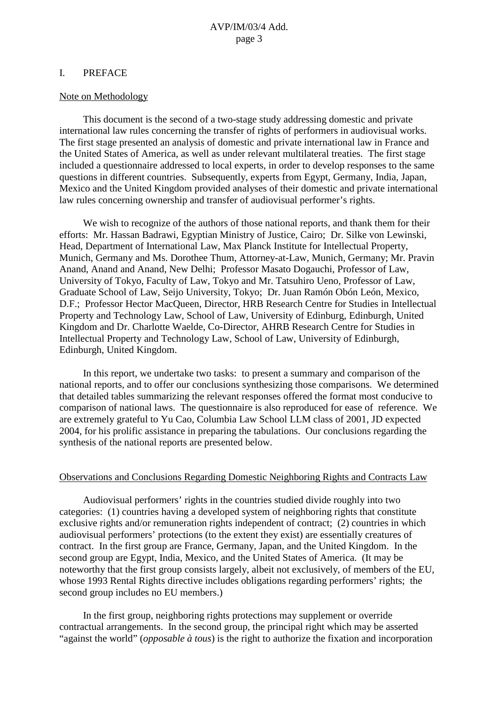#### I. PREFACE

#### Note on Methodology

This document is the second of a two-stage study addressing domestic and private international law rules concerning the transfer of rights of performers in audiovisual works. The first stage presented an analysis of domestic and private international law in France and the United States of America, as well as under relevant multilateral treaties. The first stage included a questionnaire addressed to local experts, in order to develop responses to the same questions in different countries. Subsequently, experts from Egypt, Germany, India, Japan, Mexico and the United Kingdom provided analyses of their domestic and private international law rules concerning ownership and transfer of audiovisual performer's rights.

We wish to recognize of the authors of those national reports, and thank them for their efforts: Mr. Hassan Badrawi, Egyptian Ministry of Justice, Cairo; Dr. Silke von Lewinski, Head, Department of International Law, Max Planck Institute for Intellectual Property, Munich, Germany and Ms. Dorothee Thum, Attorney-at-Law, Munich, Germany; Mr. Pravin Anand, Anand and Anand, New Delhi; Professor Masato Dogauchi, Professor of Law, University of Tokyo, Faculty of Law, Tokyo and Mr. Tatsuhiro Ueno, Professor of Law, Graduate School of Law, Seijo University, Tokyo; Dr. Juan Ramón Obón León, Mexico, D.F.; Professor Hector MacQueen, Director, HRB Research Centre for Studies in Intellectual Property and Technology Law, School of Law, University of Edinburg, Edinburgh, United Kingdom and Dr. Charlotte Waelde, Co-Director, AHRB Research Centre for Studies in Intellectual Property and Technology Law, School of Law, University of Edinburgh, Edinburgh, United Kingdom.

In this report, we undertake two tasks: to present a summary and comparison of the national reports, and to offer our conclusions synthesizing those comparisons. We determined that detailed tables summarizing the relevant responses offered the format most conducive to comparison of national laws. The questionnaire is also reproduced for ease of reference. We are extremely grateful to Yu Cao, Columbia Law School LLM class of 2001, JD expected 2004, for his prolific assistance in preparing the tabulations. Our conclusions regarding the synthesis of the national reports are presented below.

#### Observations and Conclusions Regarding Domestic Neighboring Rights and Contracts Law

Audiovisual performers' rights in the countries studied divide roughly into two categories: (1) countries having a developed system of neighboring rights that constitute exclusive rights and/or remuneration rights independent of contract; (2) countries in which audiovisual performers' protections (to the extent they exist) are essentially creatures of contract. In the first group are France, Germany, Japan, and the United Kingdom. In the second group are Egypt, India, Mexico, and the United States of America. (It may be noteworthy that the first group consists largely, albeit not exclusively, of members of the EU, whose 1993 Rental Rights directive includes obligations regarding performers' rights; the second group includes no EU members.)

In the first group, neighboring rights protections may supplement or override contractual arrangements. In the second group, the principal right which may be asserted "against the world" (*opposable à tous*) is the right to authorize the fixation and incorporation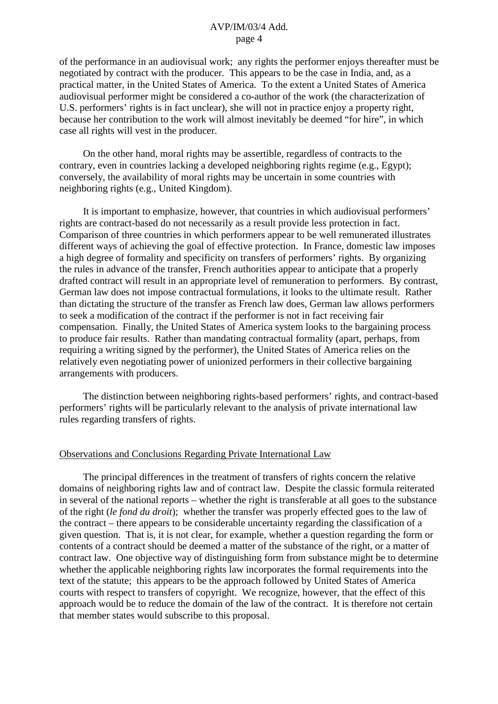of the performance in an audiovisual work; any rights the performer enjoys thereafter must be negotiated by contract with the producer. This appears to be the case in India, and, as a practical matter, in the United States of America. To the extent a United States of America audiovisual performer might be considered a co-author of the work (the characterization of U.S. performers' rights is in fact unclear), she will not in practice enjoy a property right, because her contribution to the work will almost inevitably be deemed "for hire", in which case all rights will vest in the producer.

On the other hand, moral rights may be assertible, regardless of contracts to the contrary, even in countries lacking a developed neighboring rights regime (e.g., Egypt); conversely, the availability of moral rights may be uncertain in some countries with neighboring rights (e.g., United Kingdom).

It is important to emphasize, however, that countries in which audiovisual performers' rights are contract-based do not necessarily as a result provide less protection in fact. Comparison of three countries in which performers appear to be well remunerated illustrates different ways of achieving the goal of effective protection. In France, domestic law imposes a high degree of formality and specificity on transfers of performers' rights. By organizing the rules in advance of the transfer, French authorities appear to anticipate that a properly drafted contract will result in an appropriate level of remuneration to performers. By contrast, German law does not impose contractual formulations, it looks to the ultimate result. Rather than dictating the structure of the transfer as French law does, German law allows performers to seek a modification of the contract if the performer is not in fact receiving fair compensation. Finally, the United States of America system looks to the bargaining process to produce fair results. Rather than mandating contractual formality (apart, perhaps, from requiring a writing signed by the performer), the United States of America relies on the relatively even negotiating power of unionized performers in their collective bargaining arrangements with producers.

The distinction between neighboring rights-based performers' rights, and contract-based performers' rights will be particularly relevant to the analysis of private international law rules regarding transfers of rights.

### Observations and Conclusions Regarding Private International Law

The principal differences in the treatment of transfers of rights concern the relative domains of neighboring rights law and of contract law. Despite the classic formula reiterated in several of the national reports – whether the right is transferable at all goes to the substance of the right (*le fond du droit*); whether the transfer was properly effected goes to the law of the contract – there appears to be considerable uncertainty regarding the classification of a given question. That is, it is not clear, for example, whether a question regarding the form or contents of a contract should be deemed a matter of the substance of the right, or a matter of contract law. One objective way of distinguishing form from substance might be to determine whether the applicable neighboring rights law incorporates the formal requirements into the text of the statute; this appears to be the approach followed by United States of America courts with respect to transfers of copyright. We recognize, however, that the effect of this approach would be to reduce the domain of the law of the contract. It is therefore not certain that member states would subscribe to this proposal.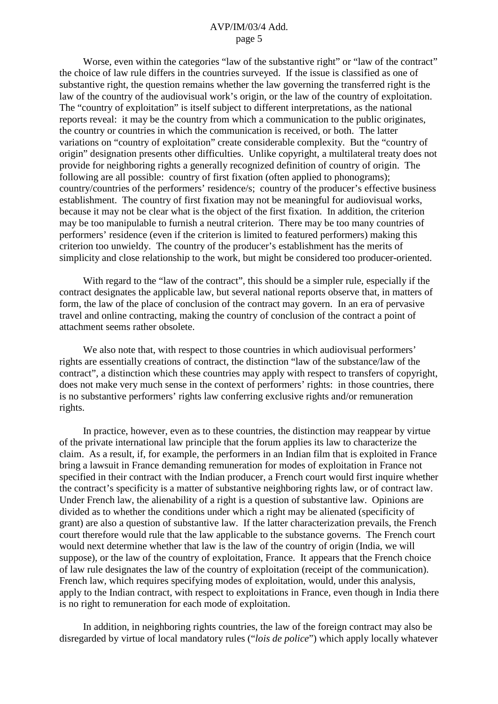Worse, even within the categories "law of the substantive right" or "law of the contract" the choice of law rule differs in the countries surveyed. If the issue is classified as one of substantive right, the question remains whether the law governing the transferred right is the law of the country of the audiovisual work's origin, or the law of the country of exploitation. The "country of exploitation" is itself subject to different interpretations, as the national reports reveal: it may be the country from which a communication to the public originates, the country or countries in which the communication is received, or both. The latter variations on "country of exploitation" create considerable complexity. But the "country of origin" designation presents other difficulties. Unlike copyright, a multilateral treaty does not provide for neighboring rights a generally recognized definition of country of origin. The following are all possible: country of first fixation (often applied to phonograms); country/countries of the performers' residence/s; country of the producer's effective business establishment. The country of first fixation may not be meaningful for audiovisual works, because it may not be clear what is the object of the first fixation. In addition, the criterion may be too manipulable to furnish a neutral criterion. There may be too many countries of performers' residence (even if the criterion is limited to featured performers) making this criterion too unwieldy. The country of the producer's establishment has the merits of simplicity and close relationship to the work, but might be considered too producer-oriented.

With regard to the "law of the contract", this should be a simpler rule, especially if the contract designates the applicable law, but several national reports observe that, in matters of form, the law of the place of conclusion of the contract may govern. In an era of pervasive travel and online contracting, making the country of conclusion of the contract a point of attachment seems rather obsolete.

We also note that, with respect to those countries in which audiovisual performers' rights are essentially creations of contract, the distinction "law of the substance/law of the contract", a distinction which these countries may apply with respect to transfers of copyright, does not make very much sense in the context of performers' rights: in those countries, there is no substantive performers' rights law conferring exclusive rights and/or remuneration rights.

In practice, however, even as to these countries, the distinction may reappear by virtue of the private international law principle that the forum applies its law to characterize the claim. As a result, if, for example, the performers in an Indian film that is exploited in France bring a lawsuit in France demanding remuneration for modes of exploitation in France not specified in their contract with the Indian producer, a French court would first inquire whether the contract's specificity is a matter of substantive neighboring rights law, or of contract law. Under French law, the alienability of a right is a question of substantive law. Opinions are divided as to whether the conditions under which a right may be alienated (specificity of grant) are also a question of substantive law. If the latter characterization prevails, the French court therefore would rule that the law applicable to the substance governs. The French court would next determine whether that law is the law of the country of origin (India, we will suppose), or the law of the country of exploitation, France. It appears that the French choice of law rule designates the law of the country of exploitation (receipt of the communication). French law, which requires specifying modes of exploitation, would, under this analysis, apply to the Indian contract, with respect to exploitations in France, even though in India there is no right to remuneration for each mode of exploitation.

In addition, in neighboring rights countries, the law of the foreign contract may also be disregarded by virtue of local mandatory rules ("*lois de police*") which apply locally whatever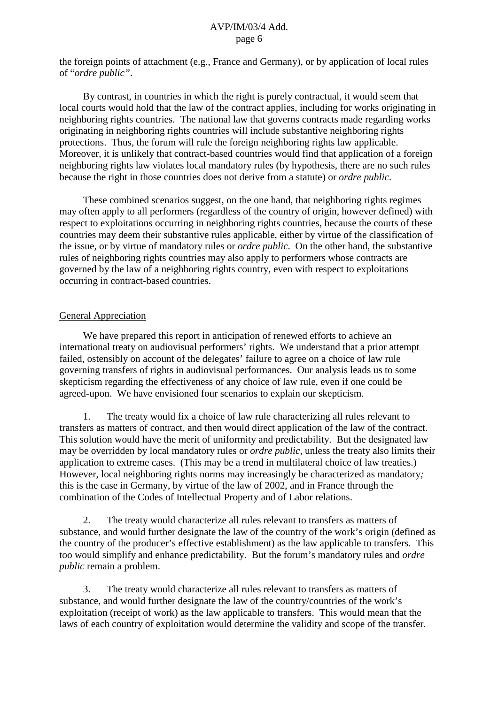the foreign points of attachment (e.g., France and Germany), or by application of local rules of "*ordre public"*.

By contrast, in countries in which the right is purely contractual, it would seem that local courts would hold that the law of the contract applies, including for works originating in neighboring rights countries. The national law that governs contracts made regarding works originating in neighboring rights countries will include substantive neighboring rights protections. Thus, the forum will rule the foreign neighboring rights law applicable. Moreover, it is unlikely that contract-based countries would find that application of a foreign neighboring rights law violates local mandatory rules (by hypothesis, there are no such rules because the right in those countries does not derive from a statute) or *ordre public*.

These combined scenarios suggest, on the one hand, that neighboring rights regimes may often apply to all performers (regardless of the country of origin, however defined) with respect to exploitations occurring in neighboring rights countries, because the courts of these countries may deem their substantive rules applicable, either by virtue of the classification of the issue, or by virtue of mandatory rules or *ordre public*. On the other hand, the substantive rules of neighboring rights countries may also apply to performers whose contracts are governed by the law of a neighboring rights country, even with respect to exploitations occurring in contract-based countries.

### General Appreciation

We have prepared this report in anticipation of renewed efforts to achieve an international treaty on audiovisual performers' rights. We understand that a prior attempt failed, ostensibly on account of the delegates' failure to agree on a choice of law rule governing transfers of rights in audiovisual performances. Our analysis leads us to some skepticism regarding the effectiveness of any choice of law rule, even if one could be agreed-upon. We have envisioned four scenarios to explain our skepticism.

1. The treaty would fix a choice of law rule characterizing all rules relevant to transfers as matters of contract, and then would direct application of the law of the contract. This solution would have the merit of uniformity and predictability. But the designated law may be overridden by local mandatory rules or *ordre public*, unless the treaty also limits their application to extreme cases. (This may be a trend in multilateral choice of law treaties.) However, local neighboring rights norms may increasingly be characterized as mandatory*;* this is the case in Germany, by virtue of the law of 2002, and in France through the combination of the Codes of Intellectual Property and of Labor relations.

2. The treaty would characterize all rules relevant to transfers as matters of substance, and would further designate the law of the country of the work's origin (defined as the country of the producer's effective establishment) as the law applicable to transfers. This too would simplify and enhance predictability. But the forum's mandatory rules and *ordre public* remain a problem.

3. The treaty would characterize all rules relevant to transfers as matters of substance, and would further designate the law of the country/countries of the work's exploitation (receipt of work) as the law applicable to transfers. This would mean that the laws of each country of exploitation would determine the validity and scope of the transfer.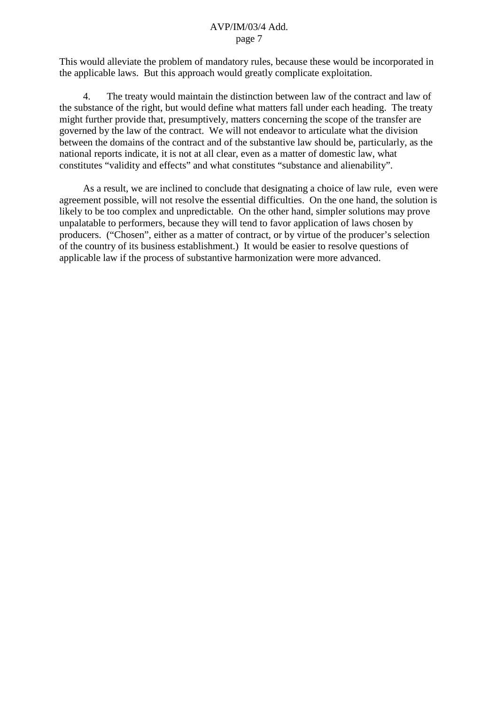This would alleviate the problem of mandatory rules, because these would be incorporated in the applicable laws. But this approach would greatly complicate exploitation.

4. The treaty would maintain the distinction between law of the contract and law of the substance of the right, but would define what matters fall under each heading. The treaty might further provide that, presumptively, matters concerning the scope of the transfer are governed by the law of the contract. We will not endeavor to articulate what the division between the domains of the contract and of the substantive law should be, particularly, as the national reports indicate, it is not at all clear, even as a matter of domestic law, what constitutes "validity and effects" and what constitutes "substance and alienability".

As a result, we are inclined to conclude that designating a choice of law rule, even were agreement possible, will not resolve the essential difficulties. On the one hand, the solution is likely to be too complex and unpredictable. On the other hand, simpler solutions may prove unpalatable to performers, because they will tend to favor application of laws chosen by producers. ("Chosen", either as a matter of contract, or by virtue of the producer's selection of the country of its business establishment.) It would be easier to resolve questions of applicable law if the process of substantive harmonization were more advanced.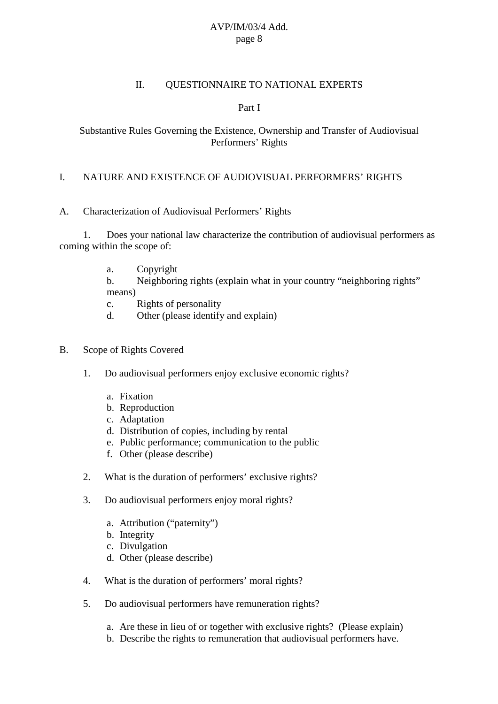### II. QUESTIONNAIRE TO NATIONAL EXPERTS

### Part I

### Substantive Rules Governing the Existence, Ownership and Transfer of Audiovisual Performers' Rights

### I. NATURE AND EXISTENCE OF AUDIOVISUAL PERFORMERS' RIGHTS

### A. Characterization of Audiovisual Performers' Rights

1. Does your national law characterize the contribution of audiovisual performers as coming within the scope of:

- a. Copyright
- b. Neighboring rights (explain what in your country "neighboring rights" means)
- c. Rights of personality
- d. Other (please identify and explain)

#### B. Scope of Rights Covered

- 1. Do audiovisual performers enjoy exclusive economic rights?
	- a. Fixation
	- b. Reproduction
	- c. Adaptation
	- d. Distribution of copies, including by rental
	- e. Public performance; communication to the public
	- f. Other (please describe)
- 2. What is the duration of performers' exclusive rights?
- 3. Do audiovisual performers enjoy moral rights?
	- a. Attribution ("paternity")
	- b. Integrity
	- c. Divulgation
	- d. Other (please describe)
- 4. What is the duration of performers' moral rights?
- 5. Do audiovisual performers have remuneration rights?
	- a. Are these in lieu of or together with exclusive rights? (Please explain)
	- b. Describe the rights to remuneration that audiovisual performers have.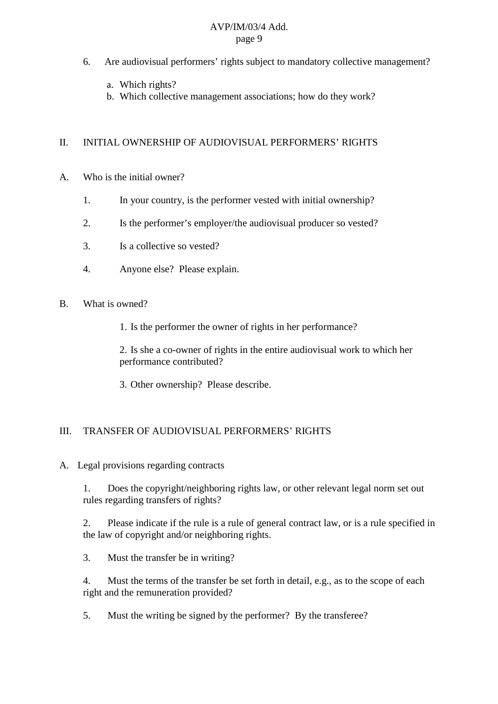- 6. Are audiovisual performers' rights subject to mandatory collective management?
	- a. Which rights?
	- b. Which collective management associations; how do they work?

### II. INITIAL OWNERSHIP OF AUDIOVISUAL PERFORMERS' RIGHTS

- A. Who is the initial owner?
	- 1. In your country, is the performer vested with initial ownership?
	- 2. Is the performer's employer/the audiovisual producer so vested?
	- 3. Is a collective so vested?
	- 4. Anyone else? Please explain.
- B. What is owned?
	- 1. Is the performer the owner of rights in her performance?

2. Is she a co-owner of rights in the entire audiovisual work to which her performance contributed?

3. Other ownership? Please describe.

## III. TRANSFER OF AUDIOVISUAL PERFORMERS' RIGHTS

A. Legal provisions regarding contracts

1. Does the copyright/neighboring rights law, or other relevant legal norm set out rules regarding transfers of rights?

2. Please indicate if the rule is a rule of general contract law, or is a rule specified in the law of copyright and/or neighboring rights.

3. Must the transfer be in writing?

4. Must the terms of the transfer be set forth in detail, e.g., as to the scope of each right and the remuneration provided?

5. Must the writing be signed by the performer? By the transferee?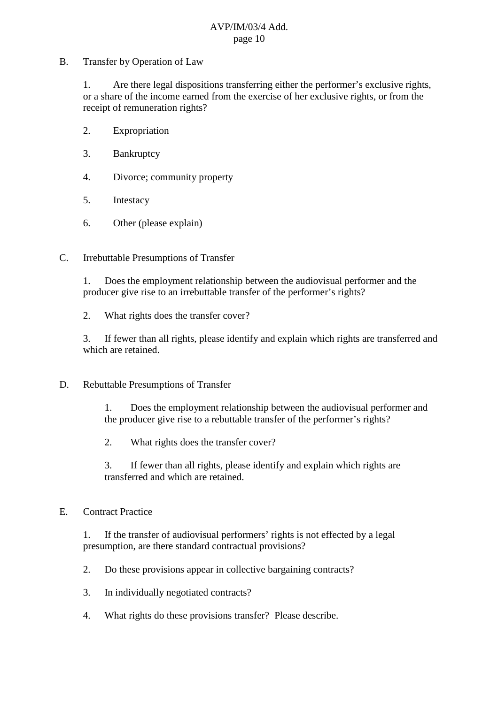B. Transfer by Operation of Law

1. Are there legal dispositions transferring either the performer's exclusive rights, or a share of the income earned from the exercise of her exclusive rights, or from the receipt of remuneration rights?

- 2. Expropriation
- 3. Bankruptcy
- 4. Divorce; community property
- 5. Intestacy
- 6. Other (please explain)
- C. Irrebuttable Presumptions of Transfer

1. Does the employment relationship between the audiovisual performer and the producer give rise to an irrebuttable transfer of the performer's rights?

2. What rights does the transfer cover?

3. If fewer than all rights, please identify and explain which rights are transferred and which are retained.

D. Rebuttable Presumptions of Transfer

1. Does the employment relationship between the audiovisual performer and the producer give rise to a rebuttable transfer of the performer's rights?

2. What rights does the transfer cover?

3. If fewer than all rights, please identify and explain which rights are transferred and which are retained.

## E. Contract Practice

1. If the transfer of audiovisual performers' rights is not effected by a legal presumption, are there standard contractual provisions?

- 2. Do these provisions appear in collective bargaining contracts?
- 3. In individually negotiated contracts?
- 4. What rights do these provisions transfer? Please describe.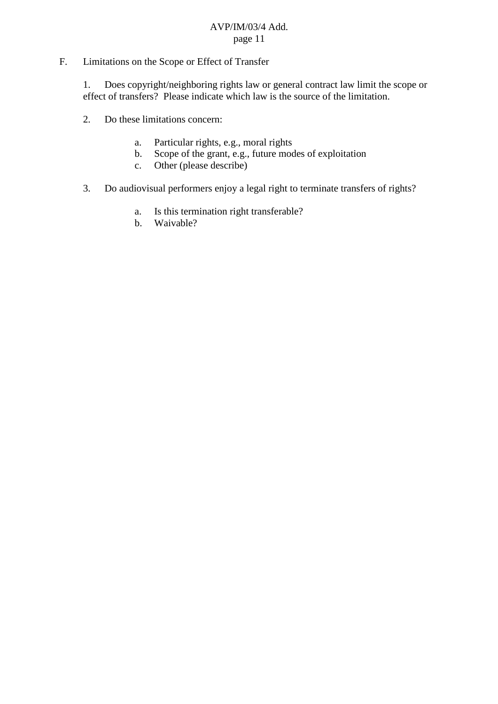# F. Limitations on the Scope or Effect of Transfer

1. Does copyright/neighboring rights law or general contract law limit the scope or effect of transfers? Please indicate which law is the source of the limitation.

- 2. Do these limitations concern:
	- a. Particular rights, e.g., moral rights
	- b. Scope of the grant, e.g., future modes of exploitation
	- c. Other (please describe)
- 3. Do audiovisual performers enjoy a legal right to terminate transfers of rights?
	- a. Is this termination right transferable?
	- b. Waivable?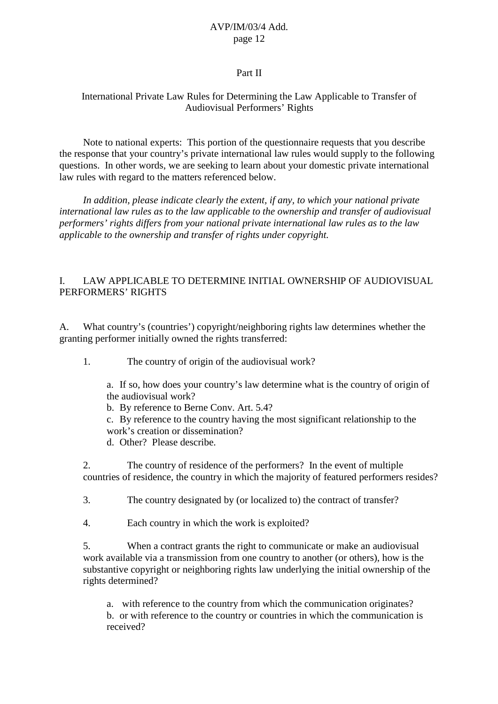### Part II

### International Private Law Rules for Determining the Law Applicable to Transfer of Audiovisual Performers' Rights

Note to national experts: This portion of the questionnaire requests that you describe the response that your country's private international law rules would supply to the following questions. In other words, we are seeking to learn about your domestic private international law rules with regard to the matters referenced below.

*In addition, please indicate clearly the extent, if any, to which your national private international law rules as to the law applicable to the ownership and transfer of audiovisual performers' rights differs from your national private international law rules as to the law applicable to the ownership and transfer of rights under copyright.*

## I. LAW APPLICABLE TO DETERMINE INITIAL OWNERSHIP OF AUDIOVISUAL PERFORMERS' RIGHTS

A. What country's (countries') copyright/neighboring rights law determines whether the granting performer initially owned the rights transferred:

1. The country of origin of the audiovisual work?

a. If so, how does your country's law determine what is the country of origin of the audiovisual work?

b. By reference to Berne Conv. Art. 5.4?

c. By reference to the country having the most significant relationship to the work's creation or dissemination?

d. Other? Please describe.

2. The country of residence of the performers? In the event of multiple countries of residence, the country in which the majority of featured performers resides?

3. The country designated by (or localized to) the contract of transfer?

4. Each country in which the work is exploited?

5. When a contract grants the right to communicate or make an audiovisual work available via a transmission from one country to another (or others), how is the substantive copyright or neighboring rights law underlying the initial ownership of the rights determined?

a. with reference to the country from which the communication originates? b. or with reference to the country or countries in which the communication is received?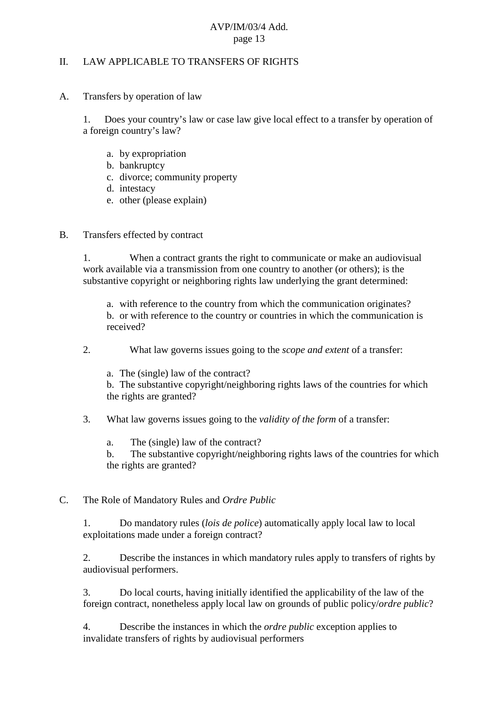### II. LAW APPLICABLE TO TRANSFERS OF RIGHTS

A. Transfers by operation of law

1. Does your country's law or case law give local effect to a transfer by operation of a foreign country's law?

- a. by expropriation
- b. bankruptcy
- c. divorce; community property
- d. intestacy
- e. other (please explain)
- B. Transfers effected by contract

1. When a contract grants the right to communicate or make an audiovisual work available via a transmission from one country to another (or others); is the substantive copyright or neighboring rights law underlying the grant determined:

a. with reference to the country from which the communication originates? b. or with reference to the country or countries in which the communication is received?

- 2. What law governs issues going to the *scope and extent* of a transfer:
	- a. The (single) law of the contract?

b. The substantive copyright/neighboring rights laws of the countries for which the rights are granted?

- 3. What law governs issues going to the *validity of the form* of a transfer:
	- a. The (single) law of the contract?

b. The substantive copyright/neighboring rights laws of the countries for which the rights are granted?

C. The Role of Mandatory Rules and *Ordre Public*

1. Do mandatory rules (*lois de police*) automatically apply local law to local exploitations made under a foreign contract?

2. Describe the instances in which mandatory rules apply to transfers of rights by audiovisual performers.

3. Do local courts, having initially identified the applicability of the law of the foreign contract, nonetheless apply local law on grounds of public policy/*ordre public*?

4. Describe the instances in which the *ordre public* exception applies to invalidate transfers of rights by audiovisual performers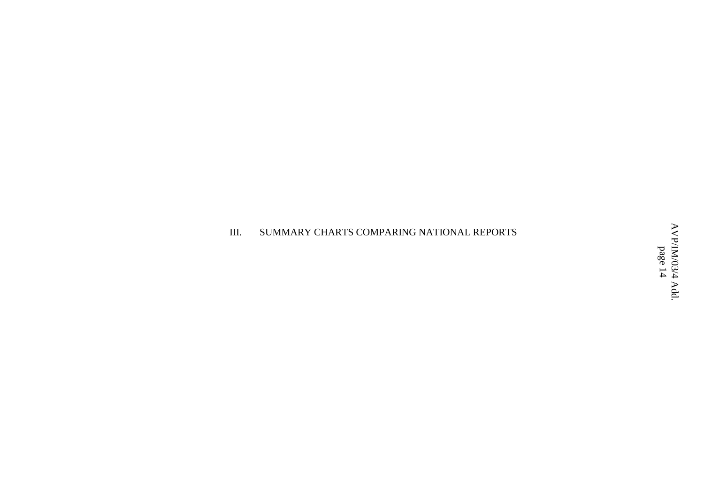#### III.. SUMMARY CHARTS COMPARING NATIONAL REPORTS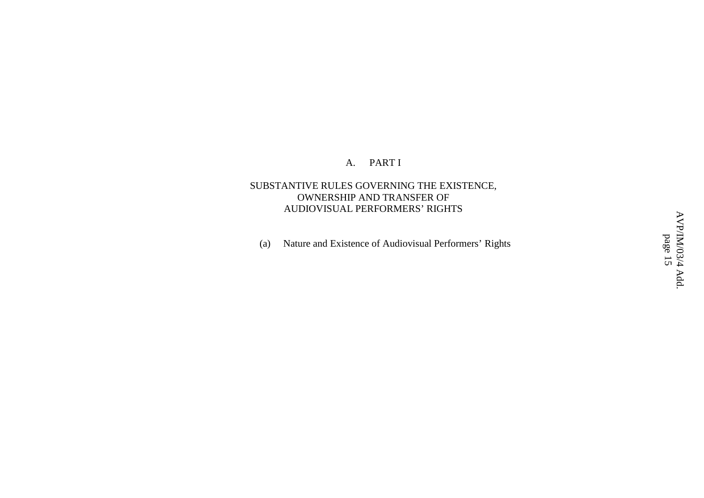#### A. PART I

### SUBSTANTIVE RULES GOVERNING THE EXISTENCE, OWNERSHIP AND TRANSFER OF AUDIOVISUAL PERFORMERS' RIGHTS

(a) Nature and Existence of Audiovisual Performers' Rights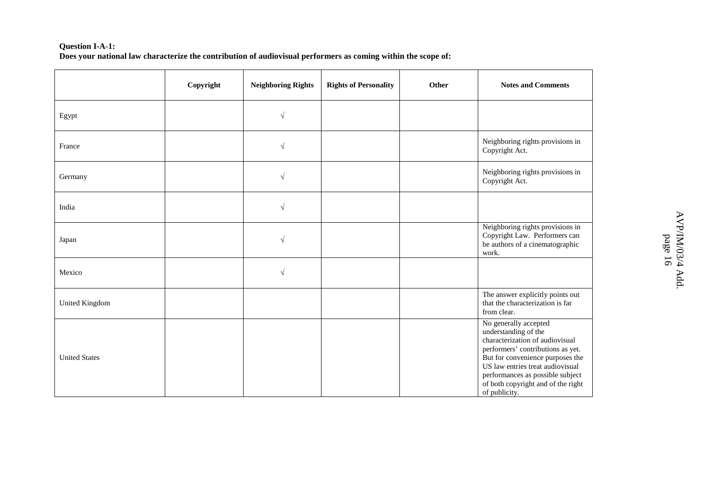#### **Question I-A-1:** Does your national law characterize the contribution of audiovisual performers as coming within the scope of:

|                      | Copyright | <b>Neighboring Rights</b> | <b>Rights of Personality</b> | Other | <b>Notes and Comments</b>                                                                                                                                                                                                                                                                |
|----------------------|-----------|---------------------------|------------------------------|-------|------------------------------------------------------------------------------------------------------------------------------------------------------------------------------------------------------------------------------------------------------------------------------------------|
| Egypt                |           | $\sqrt{ }$                |                              |       |                                                                                                                                                                                                                                                                                          |
| France               |           | $\sqrt{ }$                |                              |       | Neighboring rights provisions in<br>Copyright Act.                                                                                                                                                                                                                                       |
| Germany              |           | $\sqrt{ }$                |                              |       | Neighboring rights provisions in<br>Copyright Act.                                                                                                                                                                                                                                       |
| India                |           | $\sqrt{ }$                |                              |       |                                                                                                                                                                                                                                                                                          |
| Japan                |           | $\sqrt{ }$                |                              |       | Neighboring rights provisions in<br>Copyright Law. Performers can<br>be authors of a cinematographic<br>work.                                                                                                                                                                            |
| Mexico               |           | $\sqrt{ }$                |                              |       |                                                                                                                                                                                                                                                                                          |
| United Kingdom       |           |                           |                              |       | The answer explicitly points out<br>that the characterization is far<br>from clear.                                                                                                                                                                                                      |
| <b>United States</b> |           |                           |                              |       | No generally accepted<br>understanding of the<br>characterization of audiovisual<br>performers' contributions as yet.<br>But for convenience purposes the<br>US law entries treat audiovisual<br>performances as possible subject<br>of both copyright and of the right<br>of publicity. |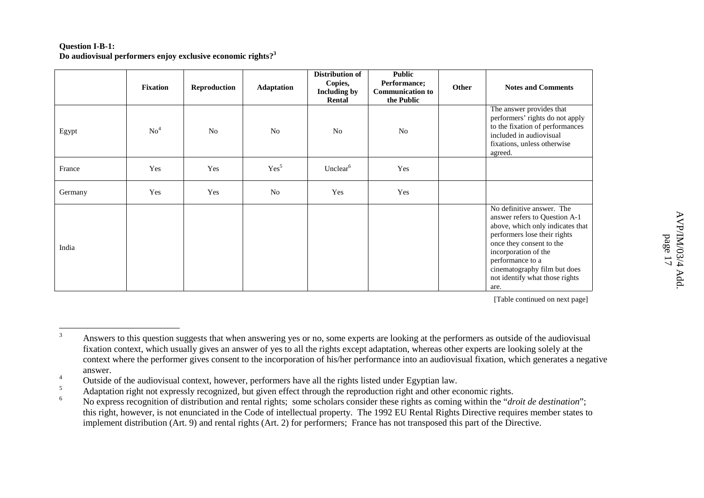#### **Question I-B-1: Do audiovisual performers enjoy exclusive economic rights?<sup>3</sup>**

|         | <b>Fixation</b> | Reproduction   | Adaptation       | <b>Distribution of</b><br>Copies,<br><b>Including by</b><br>Rental | <b>Public</b><br>Performance;<br><b>Communication to</b><br>the Public | Other | <b>Notes and Comments</b>                                                                                                                                                                                                                                                        |
|---------|-----------------|----------------|------------------|--------------------------------------------------------------------|------------------------------------------------------------------------|-------|----------------------------------------------------------------------------------------------------------------------------------------------------------------------------------------------------------------------------------------------------------------------------------|
| Egypt   | No <sup>4</sup> | N <sub>o</sub> | N <sub>0</sub>   | N <sub>0</sub>                                                     | N <sub>o</sub>                                                         |       | The answer provides that<br>performers' rights do not apply<br>to the fixation of performances<br>included in audiovisual<br>fixations, unless otherwise<br>agreed.                                                                                                              |
| France  | Yes             | Yes            | Yes <sup>5</sup> | Unclear <sup>6</sup>                                               | Yes                                                                    |       |                                                                                                                                                                                                                                                                                  |
| Germany | Yes             | Yes            | No               | Yes                                                                | Yes                                                                    |       |                                                                                                                                                                                                                                                                                  |
| India   |                 |                |                  |                                                                    |                                                                        |       | No definitive answer. The<br>answer refers to Question A-1<br>above, which only indicates that<br>performers lose their rights<br>once they consent to the<br>incorporation of the<br>performance to a<br>cinematography film but does<br>not identify what those rights<br>are. |

<sup>3</sup>Answers to this question suggests that when answering yes or no, some experts are looking at the performers as outside of the audiovisual fixation context, which usually gives an answer of yes to all the rights excep<sup>t</sup> adaptation, whereas other experts are looking solely at the context where the performer gives consent to the incorporation of his/her performance into an audiovisual fixation, which generates <sup>a</sup> negative answer.

<sup>4</sup><sup>4</sup> Outside of the audiovisual context, however, performers have all the rights listed under Egyptian law.

<sup>5</sup>Adaptation right not expressly recognized, but given effect through the reproduction right and other economic rights.

<sup>6</sup> No express recognition of distribution and rental rights; some scholars consider these rights as coming within the "*droit de destination*"; this right, however, is not enunciated in the Code of intellectual property. The 1992 EU Rental Rights Directive requires member states to implement distribution (Art. 9) and rental rights (Art. 2) for performers; France has not transposed this par<sup>t</sup> of the Directive.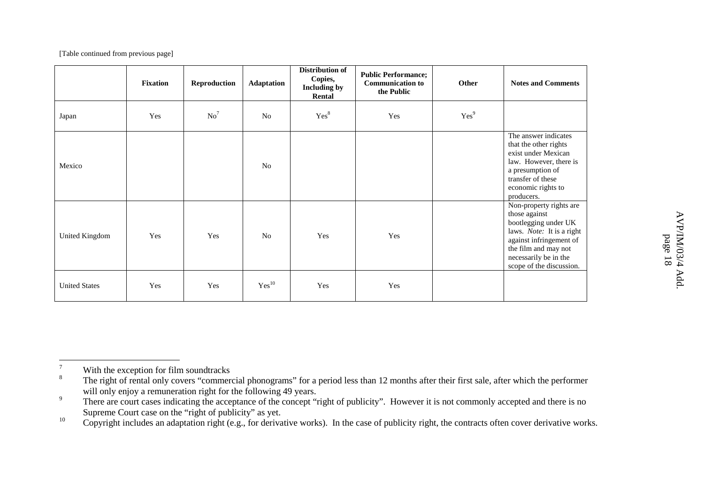|                      | <b>Fixation</b> | Reproduction    | <b>Adaptation</b> | Distribution of<br>Copies,<br><b>Including by</b><br>Rental | <b>Public Performance;</b><br><b>Communication to</b><br>the Public | Other            | <b>Notes and Comments</b>                                                                                                                                                                             |
|----------------------|-----------------|-----------------|-------------------|-------------------------------------------------------------|---------------------------------------------------------------------|------------------|-------------------------------------------------------------------------------------------------------------------------------------------------------------------------------------------------------|
| Japan                | Yes             | No <sup>7</sup> | N <sub>0</sub>    | Yes <sup>8</sup>                                            | Yes                                                                 | Yes <sup>9</sup> |                                                                                                                                                                                                       |
| Mexico               |                 |                 | N <sub>0</sub>    |                                                             |                                                                     |                  | The answer indicates<br>that the other rights<br>exist under Mexican<br>law. However, there is<br>a presumption of<br>transfer of these<br>economic rights to<br>producers.                           |
| United Kingdom       | Yes             | Yes             | No                | Yes                                                         | Yes                                                                 |                  | Non-property rights are<br>those against<br>bootlegging under UK<br>laws. Note: It is a right<br>against infringement of<br>the film and may not<br>necessarily be in the<br>scope of the discussion. |
| <b>United States</b> | Yes             | Yes             | Yes <sup>10</sup> | Yes                                                         | Yes                                                                 |                  |                                                                                                                                                                                                       |

10Copyright includes an adaptation right (e.g., for derivative works). In the case of publicity right, the contracts often cover derivative works.

<sup>7</sup>With the exception for film soundtracks

<sup>8</sup><sup>o</sup> The right of rental only covers "commercial phonograms" for a period less than 12 months after their first sale, after which the performer will only enjoy <sup>a</sup> remuneration right for the following 49 years.

<sup>9</sup><sup>7</sup> There are court cases indicating the acceptance of the concept "right of publicity". However it is not commonly accepted and there is no Supreme Court case on the "right of publicity" as yet.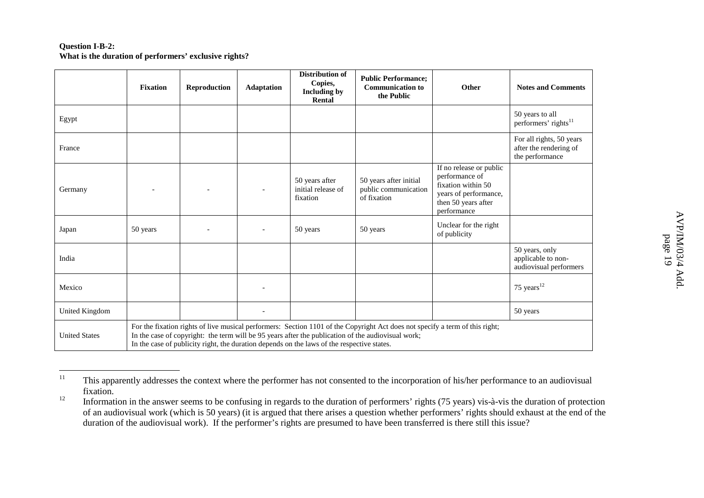#### **Question I-B-2: What is the duration of performers' exclusive rights?**

|                       | <b>Fixation</b> | Reproduction | <b>Adaptation</b> | <b>Distribution of</b><br>Copies,<br><b>Including by</b><br>Rental                         | <b>Public Performance;</b><br><b>Communication to</b><br>the Public                                                                                                                                                                | Other                                                                                                                          | <b>Notes and Comments</b>                                             |
|-----------------------|-----------------|--------------|-------------------|--------------------------------------------------------------------------------------------|------------------------------------------------------------------------------------------------------------------------------------------------------------------------------------------------------------------------------------|--------------------------------------------------------------------------------------------------------------------------------|-----------------------------------------------------------------------|
| Egypt                 |                 |              |                   |                                                                                            |                                                                                                                                                                                                                                    |                                                                                                                                | 50 years to all<br>performers' rights <sup>11</sup>                   |
| France                |                 |              |                   |                                                                                            |                                                                                                                                                                                                                                    |                                                                                                                                | For all rights, 50 years<br>after the rendering of<br>the performance |
| Germany               |                 |              |                   | 50 years after<br>initial release of<br>fixation                                           | 50 years after initial<br>public communication<br>of fixation                                                                                                                                                                      | If no release or public<br>performance of<br>fixation within 50<br>years of performance,<br>then 50 years after<br>performance |                                                                       |
| Japan                 | 50 years        |              |                   | 50 years                                                                                   | 50 years                                                                                                                                                                                                                           | Unclear for the right<br>of publicity                                                                                          |                                                                       |
| India                 |                 |              |                   |                                                                                            |                                                                                                                                                                                                                                    |                                                                                                                                | 50 years, only<br>applicable to non-<br>audiovisual performers        |
| Mexico                |                 |              |                   |                                                                                            |                                                                                                                                                                                                                                    |                                                                                                                                | 75 years $12$                                                         |
| <b>United Kingdom</b> |                 |              |                   |                                                                                            |                                                                                                                                                                                                                                    |                                                                                                                                | 50 years                                                              |
| <b>United States</b>  |                 |              |                   | In the case of publicity right, the duration depends on the laws of the respective states. | For the fixation rights of live musical performers: Section 1101 of the Copyright Act does not specify a term of this right;<br>In the case of copyright: the term will be 95 years after the publication of the audiovisual work; |                                                                                                                                |                                                                       |

<sup>11</sup> This apparently addresses the context where the performer has not consented to the incorporation of his/her performance to an audiovisual fixation.

<sup>12</sup>Information in the answer seems to be confusing in regards to the duration of performers' rights (75 years) vis-à-vis the duration of protection of an audiovisual work (which is 50 years) (it is argued that there arises <sup>a</sup> question whether performers' rights should exhaust at the end of the duration of the audiovisual work). If the performer's rights are presumed to have been transferred is there still this issue?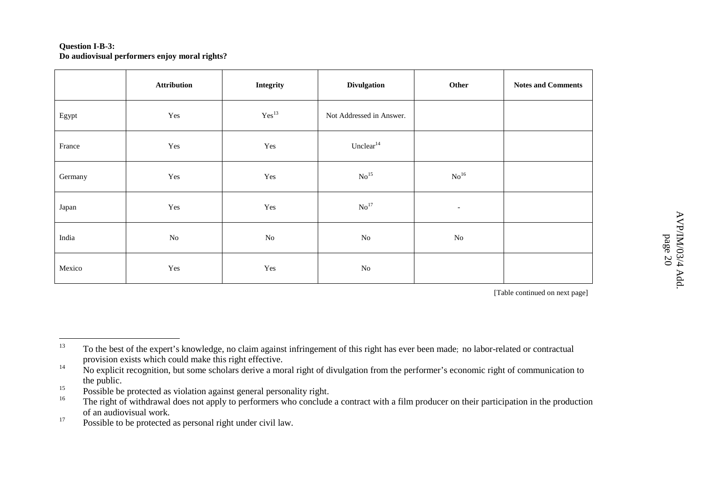#### **Question I-B-3: Do audiovisual performers enjoy moral rights?**

|         | <b>Attribution</b> | Integrity           | <b>Divulgation</b>       | Other                    | <b>Notes and Comments</b> |
|---------|--------------------|---------------------|--------------------------|--------------------------|---------------------------|
| Egypt   | Yes                | $\mathrm{Yes}^{13}$ | Not Addressed in Answer. |                          |                           |
| France  | Yes                | Yes                 | Unclear $14$             |                          |                           |
| Germany | Yes                | Yes                 | $\mathrm{No}^{15}$       | $\mathrm{No}^{16}$       |                           |
| Japan   | Yes                | Yes                 | $\mathrm{No}^{17}$       | $\overline{\phantom{a}}$ |                           |
| India   | $\rm No$           | $\rm No$            | $\rm No$                 | No                       |                           |
| Mexico  | Yes                | Yes                 | $\rm No$                 |                          |                           |

<sup>13</sup> To the best of the expert's knowledge, no claim against infringement of this right has ever been made; no labor-related or contractual provision exists which could make this right effective. 14

<sup>&</sup>lt;sup>4</sup> No explicit recognition, but some scholars derive a moral right of divulgation from the performer's economic right of communication to the public.

<sup>15</sup>Possible be protected as violation against general personality right.

<sup>16</sup><sup>o</sup> The right of withdrawal does not apply to performers who conclude a contract with a film producer on their participation in the production of an audiovisual work.

<sup>17</sup>Possible to be protected as personal right under civil law.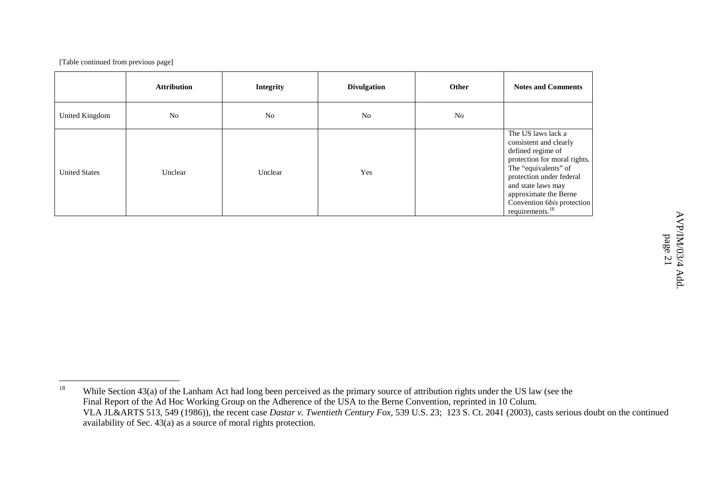|                      | <b>Attribution</b> | <b>Integrity</b> | <b>Divulgation</b> | Other | <b>Notes and Comments</b>                                                                                                                                                                                                                                         |
|----------------------|--------------------|------------------|--------------------|-------|-------------------------------------------------------------------------------------------------------------------------------------------------------------------------------------------------------------------------------------------------------------------|
| United Kingdom       | N <sub>o</sub>     | N <sub>o</sub>   | N <sub>o</sub>     | No    |                                                                                                                                                                                                                                                                   |
| <b>United States</b> | Unclear            | Unclear          | Yes                |       | The US laws lack a<br>consistent and clearly<br>defined regime of<br>protection for moral rights.<br>The "equivalents" of<br>protection under federal<br>and state laws may<br>approximate the Berne<br>Convention 6bis protection<br>requirements. <sup>18</sup> |

 $\triangleright$ 

<sup>18</sup> While Section 43(a) of the Lanham Act had long been perceived as the primary source of attribution rights under the US law (see the Final Report of the Ad Hoc Working Group on the Adherence of the USA to the Berne Convention, reprinted in 10 Colum. VLA JL&ARTS 513, 549 (1986)), the recent case *Dastar v. Twentieth Century Fox*, 539 U.S. 23; 123 S. Ct. 2041 (2003)*,* casts serious doubt on the continued availability of Sec. 43(a) as <sup>a</sup> source of moral rights protection.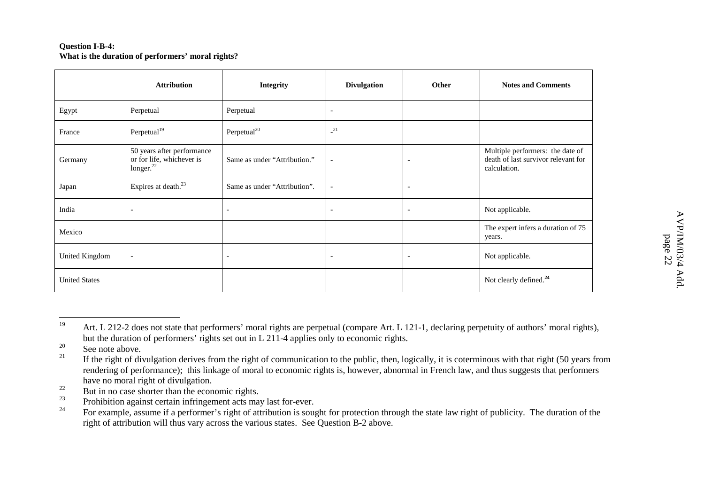#### **Question I-B-4: What is the duration of performers' moral rights?**

|                      | <b>Attribution</b>                                                               | <b>Integrity</b>             | <b>Divulgation</b>       | Other                    | <b>Notes and Comments</b>                                                               |
|----------------------|----------------------------------------------------------------------------------|------------------------------|--------------------------|--------------------------|-----------------------------------------------------------------------------------------|
| Egypt                | Perpetual                                                                        | Perpetual                    | $\overline{\phantom{a}}$ |                          |                                                                                         |
| France               | Perpetual <sup>19</sup>                                                          | Perpetual <sup>20</sup>      | $^{21}$                  |                          |                                                                                         |
| Germany              | 50 years after performance<br>or for life, whichever is<br>longer. <sup>22</sup> | Same as under "Attribution." | $\overline{\phantom{a}}$ | $\overline{\phantom{a}}$ | Multiple performers: the date of<br>death of last survivor relevant for<br>calculation. |
| Japan                | Expires at death. <sup>23</sup>                                                  | Same as under "Attribution". | $\overline{\phantom{a}}$ | $\overline{\phantom{a}}$ |                                                                                         |
| India                | $\overline{\phantom{a}}$                                                         | $\overline{\phantom{a}}$     | $\overline{\phantom{a}}$ | $\overline{\phantom{a}}$ | Not applicable.                                                                         |
| Mexico               |                                                                                  |                              |                          |                          | The expert infers a duration of 75<br>years.                                            |
| United Kingdom       | $\overline{\phantom{a}}$                                                         | $\overline{\phantom{a}}$     | $\overline{\phantom{a}}$ | $\overline{\phantom{a}}$ | Not applicable.                                                                         |
| <b>United States</b> |                                                                                  |                              |                          |                          | Not clearly defined. <sup>24</sup>                                                      |

<sup>19</sup>Art. L 212-2 does not state that performers' moral rights are perpetual (compare Art. L 121-1, declaring perpetuity of authors' moral rights), but the duration of performers' rights set out in L 211-4 applies only to economic rights.

<sup>20</sup><sup>9</sup> See note above.

<sup>21</sup> If the right of divulgation derives from the right of communication to the public, then, logically, it is coterminous with that right (50 years from rendering of performance); this linkage of moral to economic rights is, however, abnormal in French law, and thus suggests that performers have no moral right of divulgation.

<sup>22</sup> $\mathbb{R}^2$  But in no case shorter than the economic rights.

<sup>23</sup><sup>3</sup> Prohibition against certain infringement acts may last for-ever.

<sup>24</sup> For example, assume if <sup>a</sup> performer's right of attribution is sought for protection through the state law right of publicity. The duration of the right of attribution will thus vary across the various states. See Question B-2 above.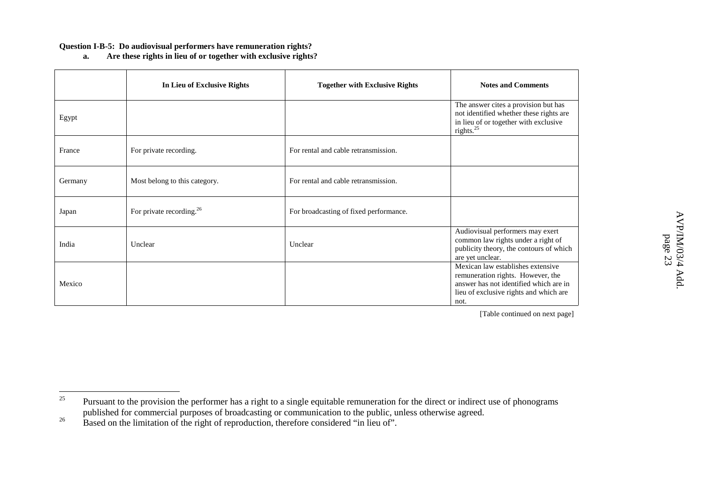#### **Question I-B-5: Do audiovisual performers have remuneration rights?**

**a.Are these rights in lieu of or together with exclusive rights?**

|         | In Lieu of Exclusive Rights   | <b>Together with Exclusive Rights</b>  | <b>Notes and Comments</b>                                                                                                                                          |
|---------|-------------------------------|----------------------------------------|--------------------------------------------------------------------------------------------------------------------------------------------------------------------|
| Egypt   |                               |                                        | The answer cites a provision but has<br>not identified whether these rights are<br>in lieu of or together with exclusive<br>rights. $^{25}$                        |
| France  | For private recording.        | For rental and cable retransmission.   |                                                                                                                                                                    |
| Germany | Most belong to this category. | For rental and cable retransmission.   |                                                                                                                                                                    |
| Japan   | For private recording. $26$   | For broadcasting of fixed performance. |                                                                                                                                                                    |
| India   | Unclear                       | Unclear                                | Audiovisual performers may exert<br>common law rights under a right of<br>publicity theory, the contours of which<br>are yet unclear.                              |
| Mexico  |                               |                                        | Mexican law establishes extensive<br>remuneration rights. However, the<br>answer has not identified which are in<br>lieu of exclusive rights and which are<br>not. |

<sup>25</sup>Pursuant to the provision the performer has a right to a single equitable remuneration for the direct or indirect use of phonograms published for commercial purposes of broadcasting or communication to the public, unless otherwise agreed.

<sup>26</sup>Based on the limitation of the right of reproduction, therefore considered "in lieu of".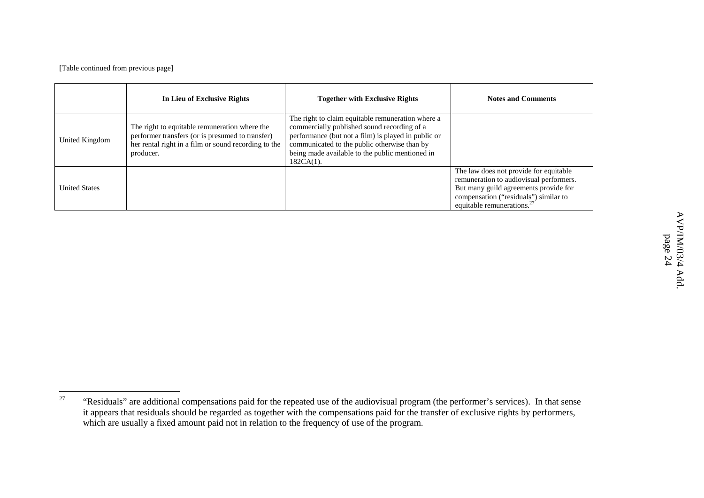|                      | In Lieu of Exclusive Rights                                                                                                                                            | <b>Together with Exclusive Rights</b>                                                                                                                                                                                                                                      | <b>Notes and Comments</b>                                                                                                                                                                            |
|----------------------|------------------------------------------------------------------------------------------------------------------------------------------------------------------------|----------------------------------------------------------------------------------------------------------------------------------------------------------------------------------------------------------------------------------------------------------------------------|------------------------------------------------------------------------------------------------------------------------------------------------------------------------------------------------------|
| United Kingdom       | The right to equitable remuneration where the<br>performer transfers (or is presumed to transfer)<br>her rental right in a film or sound recording to the<br>producer. | The right to claim equitable remuneration where a<br>commercially published sound recording of a<br>performance (but not a film) is played in public or<br>communicated to the public otherwise than by<br>being made available to the public mentioned in<br>$182CA(1)$ . |                                                                                                                                                                                                      |
| <b>United States</b> |                                                                                                                                                                        |                                                                                                                                                                                                                                                                            | The law does not provide for equitable<br>remuneration to audiovisual performers.<br>But many guild agreements provide for<br>compensation ("residuals") similar to<br>equitable remunerations. $27$ |

<sup>27</sup> "Residuals" are additional compensations paid for the repeated use of the audiovisual program (the performer's services). In that sense it appears that residuals should be regarded as together with the compensations paid for the transfer of exclusive rights by performers, which are usually <sup>a</sup> fixed amount paid not in relation to the frequency of use of the program.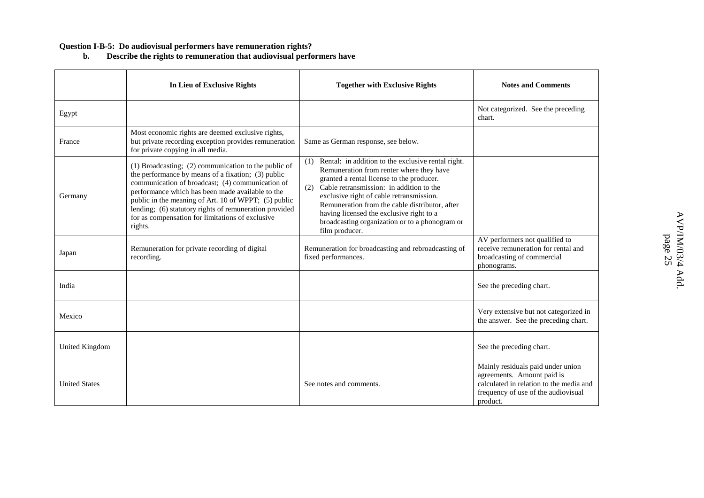#### **Question I-B-5: Do audiovisual performers have remuneration rights?**

**b. Describe the rights to remuneration that audiovisual performers have**

|                      | In Lieu of Exclusive Rights                                                                                                                                                                                                                                                                                                                                                                         | <b>Together with Exclusive Rights</b>                                                                                                                                                                                                                                                                                                                                                                               | <b>Notes and Comments</b>                                                                                                                                     |
|----------------------|-----------------------------------------------------------------------------------------------------------------------------------------------------------------------------------------------------------------------------------------------------------------------------------------------------------------------------------------------------------------------------------------------------|---------------------------------------------------------------------------------------------------------------------------------------------------------------------------------------------------------------------------------------------------------------------------------------------------------------------------------------------------------------------------------------------------------------------|---------------------------------------------------------------------------------------------------------------------------------------------------------------|
| Egypt                |                                                                                                                                                                                                                                                                                                                                                                                                     |                                                                                                                                                                                                                                                                                                                                                                                                                     | Not categorized. See the preceding<br>chart.                                                                                                                  |
| France               | Most economic rights are deemed exclusive rights,<br>but private recording exception provides remuneration<br>for private copying in all media.                                                                                                                                                                                                                                                     | Same as German response, see below.                                                                                                                                                                                                                                                                                                                                                                                 |                                                                                                                                                               |
| Germany              | (1) Broadcasting; (2) communication to the public of<br>the performance by means of a fixation; (3) public<br>communication of broadcast; (4) communication of<br>performance which has been made available to the<br>public in the meaning of Art. 10 of WPPT; (5) public<br>lending; (6) statutory rights of remuneration provided<br>for as compensation for limitations of exclusive<br>rights. | Rental: in addition to the exclusive rental right.<br>(1)<br>Remuneration from renter where they have<br>granted a rental license to the producer.<br>Cable retransmission: in addition to the<br>(2)<br>exclusive right of cable retransmission.<br>Remuneration from the cable distributor, after<br>having licensed the exclusive right to a<br>broadcasting organization or to a phonogram or<br>film producer. |                                                                                                                                                               |
| Japan                | Remuneration for private recording of digital<br>recording.                                                                                                                                                                                                                                                                                                                                         | Remuneration for broadcasting and rebroadcasting of<br>fixed performances.                                                                                                                                                                                                                                                                                                                                          | AV performers not qualified to<br>receive remuneration for rental and<br>broadcasting of commercial<br>phonograms.                                            |
| India                |                                                                                                                                                                                                                                                                                                                                                                                                     |                                                                                                                                                                                                                                                                                                                                                                                                                     | See the preceding chart.                                                                                                                                      |
| Mexico               |                                                                                                                                                                                                                                                                                                                                                                                                     |                                                                                                                                                                                                                                                                                                                                                                                                                     | Very extensive but not categorized in<br>the answer. See the preceding chart.                                                                                 |
| United Kingdom       |                                                                                                                                                                                                                                                                                                                                                                                                     |                                                                                                                                                                                                                                                                                                                                                                                                                     | See the preceding chart.                                                                                                                                      |
| <b>United States</b> |                                                                                                                                                                                                                                                                                                                                                                                                     | See notes and comments.                                                                                                                                                                                                                                                                                                                                                                                             | Mainly residuals paid under union<br>agreements. Amount paid is<br>calculated in relation to the media and<br>frequency of use of the audiovisual<br>product. |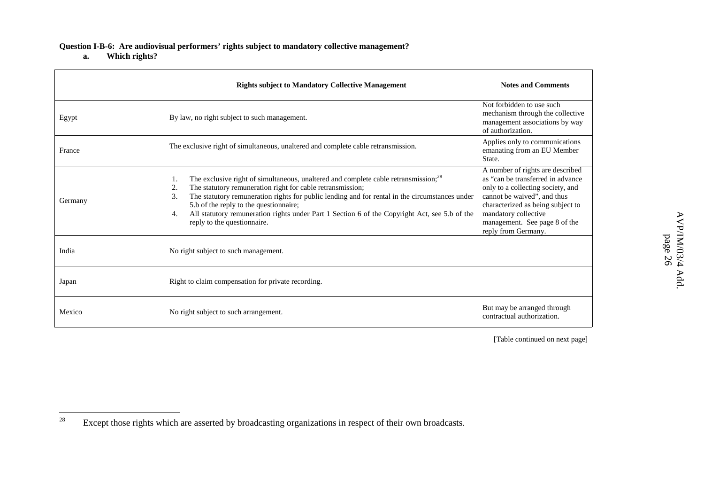#### **Question I-B-6: Are audiovisual performers' rights subject to mandatory collective management?**

**a.Which rights?**

|         | <b>Rights subject to Mandatory Collective Management</b>                                                                                                                                                                                                                                                                                                                                                                                                          | <b>Notes and Comments</b>                                                                                                                                                                                                                                       |
|---------|-------------------------------------------------------------------------------------------------------------------------------------------------------------------------------------------------------------------------------------------------------------------------------------------------------------------------------------------------------------------------------------------------------------------------------------------------------------------|-----------------------------------------------------------------------------------------------------------------------------------------------------------------------------------------------------------------------------------------------------------------|
| Egypt   | By law, no right subject to such management.                                                                                                                                                                                                                                                                                                                                                                                                                      | Not forbidden to use such<br>mechanism through the collective<br>management associations by way<br>of authorization.                                                                                                                                            |
| France  | The exclusive right of simultaneous, unaltered and complete cable retransmission.                                                                                                                                                                                                                                                                                                                                                                                 | Applies only to communications<br>emanating from an EU Member<br>State.                                                                                                                                                                                         |
| Germany | The exclusive right of simultaneous, unaltered and complete cable retransmission; <sup>28</sup><br>1.<br>The statutory remuneration right for cable retransmission;<br>2.<br>The statutory remuneration rights for public lending and for rental in the circumstances under<br>3.<br>5.b of the reply to the questionnaire;<br>All statutory remuneration rights under Part 1 Section 6 of the Copyright Act, see 5.b of the<br>4.<br>reply to the questionnaire. | A number of rights are described<br>as "can be transferred in advance"<br>only to a collecting society, and<br>cannot be waived", and thus<br>characterized as being subject to<br>mandatory collective<br>management. See page 8 of the<br>reply from Germany. |
| India   | No right subject to such management.                                                                                                                                                                                                                                                                                                                                                                                                                              |                                                                                                                                                                                                                                                                 |
| Japan   | Right to claim compensation for private recording.                                                                                                                                                                                                                                                                                                                                                                                                                |                                                                                                                                                                                                                                                                 |
| Mexico  | No right subject to such arrangement.                                                                                                                                                                                                                                                                                                                                                                                                                             | But may be arranged through<br>contractual authorization.                                                                                                                                                                                                       |

<sup>28</sup>Except those rights which are asserted by broadcasting organizations in respec<sup>t</sup> of their own broadcasts.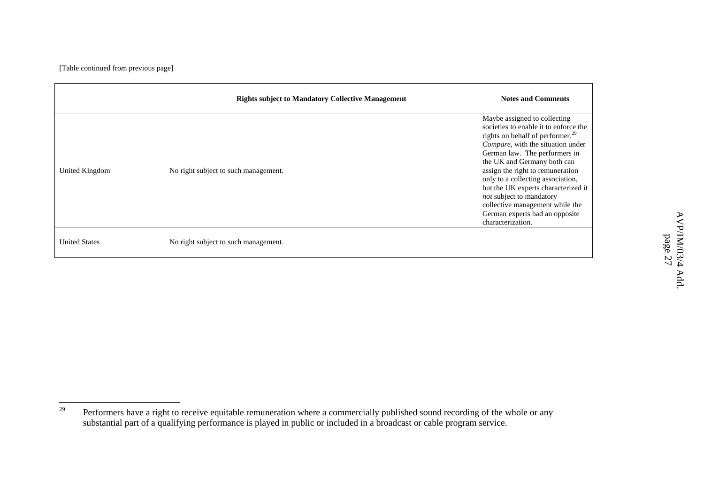|                      | <b>Rights subject to Mandatory Collective Management</b> | <b>Notes and Comments</b>                                                                                                                                                                                                                                                                                                                                                                                                                                        |
|----------------------|----------------------------------------------------------|------------------------------------------------------------------------------------------------------------------------------------------------------------------------------------------------------------------------------------------------------------------------------------------------------------------------------------------------------------------------------------------------------------------------------------------------------------------|
| United Kingdom       | No right subject to such management.                     | Maybe assigned to collecting<br>societies to enable it to enforce the<br>rights on behalf of performer. <sup>29</sup><br>Compare, with the situation under<br>German law. The performers in<br>the UK and Germany both can<br>assign the right to remuneration<br>only to a collecting association,<br>but the UK experts characterized it<br>not subject to mandatory<br>collective management while the<br>German experts had an opposite<br>characterization. |
| <b>United States</b> | No right subject to such management.                     |                                                                                                                                                                                                                                                                                                                                                                                                                                                                  |

<sup>29</sup> $\gamma$  Performers have a right to receive equitable remuneration where a commercially published sound recording of the whole or any substantial par<sup>t</sup> of <sup>a</sup> qualifying performance is played in public or included in <sup>a</sup> broadcast or cable program service.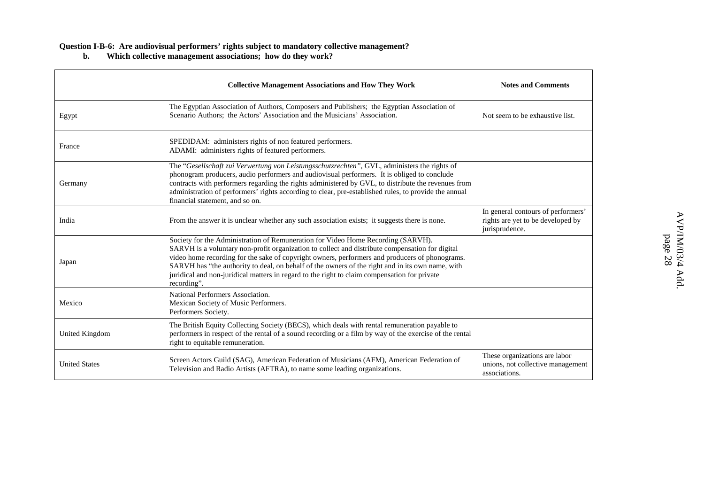#### **Question I-B-6: Are audiovisual performers' rights subject to mandatory collective management?**

**b. Which collective management associations; how do they work?**

|                      | <b>Collective Management Associations and How They Work</b>                                                                                                                                                                                                                                                                                                                                                                                                                                              | <b>Notes and Comments</b>                                                                 |
|----------------------|----------------------------------------------------------------------------------------------------------------------------------------------------------------------------------------------------------------------------------------------------------------------------------------------------------------------------------------------------------------------------------------------------------------------------------------------------------------------------------------------------------|-------------------------------------------------------------------------------------------|
| Egypt                | The Egyptian Association of Authors, Composers and Publishers; the Egyptian Association of<br>Scenario Authors; the Actors' Association and the Musicians' Association.                                                                                                                                                                                                                                                                                                                                  | Not seem to be exhaustive list.                                                           |
| France               | SPEDIDAM: administers rights of non featured performers.<br>ADAMI: administers rights of featured performers.                                                                                                                                                                                                                                                                                                                                                                                            |                                                                                           |
| Germany              | The "Gesellschaft zui Verwertung von Leistungsschutzrechten", GVL, administers the rights of<br>phonogram producers, audio performers and audiovisual performers. It is obliged to conclude<br>contracts with performers regarding the rights administered by GVL, to distribute the revenues from<br>administration of performers' rights according to clear, pre-established rules, to provide the annual<br>financial statement, and so on.                                                           |                                                                                           |
| India                | From the answer it is unclear whether any such association exists; it suggests there is none.                                                                                                                                                                                                                                                                                                                                                                                                            | In general contours of performers'<br>rights are yet to be developed by<br>jurisprudence. |
| Japan                | Society for the Administration of Remuneration for Video Home Recording (SARVH).<br>SARVH is a voluntary non-profit organization to collect and distribute compensation for digital<br>video home recording for the sake of copyright owners, performers and producers of phonograms.<br>SARVH has "the authority to deal, on behalf of the owners of the right and in its own name, with<br>juridical and non-juridical matters in regard to the right to claim compensation for private<br>recording". |                                                                                           |
| Mexico               | National Performers Association.<br>Mexican Society of Music Performers.<br>Performers Society.                                                                                                                                                                                                                                                                                                                                                                                                          |                                                                                           |
| United Kingdom       | The British Equity Collecting Society (BECS), which deals with rental remuneration payable to<br>performers in respect of the rental of a sound recording or a film by way of the exercise of the rental<br>right to equitable remuneration.                                                                                                                                                                                                                                                             |                                                                                           |
| <b>United States</b> | Screen Actors Guild (SAG), American Federation of Musicians (AFM), American Federation of<br>Television and Radio Artists (AFTRA), to name some leading organizations.                                                                                                                                                                                                                                                                                                                                   | These organizations are labor<br>unions, not collective management<br>associations.       |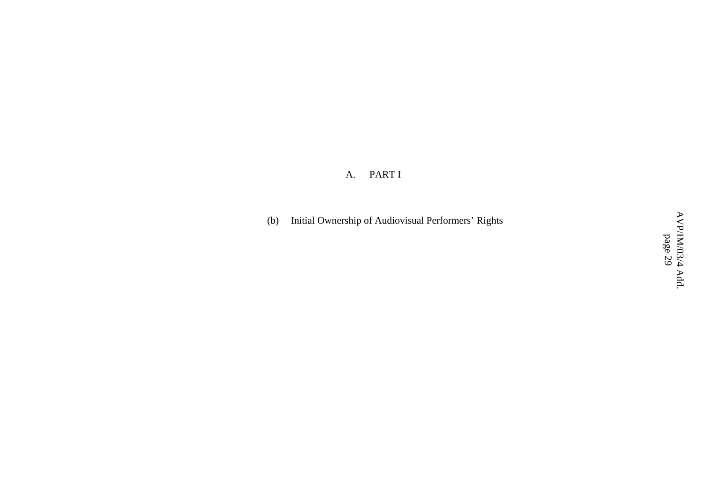#### A.PART I

(b) Initial Ownership of Audiovisual Performers' Rights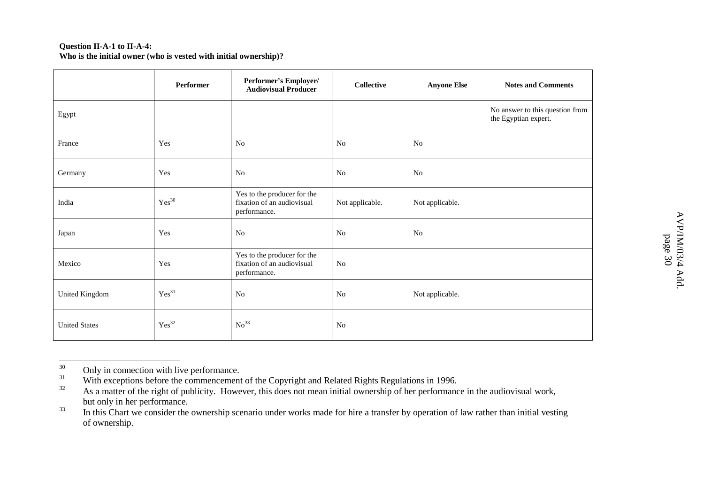#### **Question II-A-1 to II-A-4: Who is the initial owner (who is vested with initial ownership)?**

|                      | Performer           | Performer's Employer/<br><b>Audiovisual Producer</b>                      | <b>Collective</b> | <b>Anyone Else</b> | <b>Notes and Comments</b>                               |
|----------------------|---------------------|---------------------------------------------------------------------------|-------------------|--------------------|---------------------------------------------------------|
| Egypt                |                     |                                                                           |                   |                    | No answer to this question from<br>the Egyptian expert. |
| France               | Yes                 | N <sub>0</sub>                                                            | N <sub>0</sub>    | N <sub>0</sub>     |                                                         |
| Germany              | Yes                 | No                                                                        | N <sub>0</sub>    | N <sub>o</sub>     |                                                         |
| India                | $\mathrm{Yes}^{30}$ | Yes to the producer for the<br>fixation of an audiovisual<br>performance. | Not applicable.   | Not applicable.    |                                                         |
| Japan                | Yes                 | No                                                                        | N <sub>0</sub>    | N <sub>o</sub>     |                                                         |
| Mexico               | Yes                 | Yes to the producer for the<br>fixation of an audiovisual<br>performance. | No                |                    |                                                         |
| United Kingdom       | $Yes^{31}$          | No                                                                        | N <sub>0</sub>    | Not applicable.    |                                                         |
| <b>United States</b> | $\mathrm{Yes}^{32}$ | No <sup>33</sup>                                                          | No                |                    |                                                         |

<sup>30</sup>Only in connection with live performance.

<sup>31</sup>With exceptions before the commencement of the Copyright and Related Rights Regulations in 1996.

<sup>32</sup>As a matter of the right of publicity. However, this does not mean initial ownership of her performance in the audiovisual work, but only in her performance.

<sup>33</sup><sup>3</sup> In this Chart we consider the ownership scenario under works made for hire a transfer by operation of law rather than initial vesting of ownership.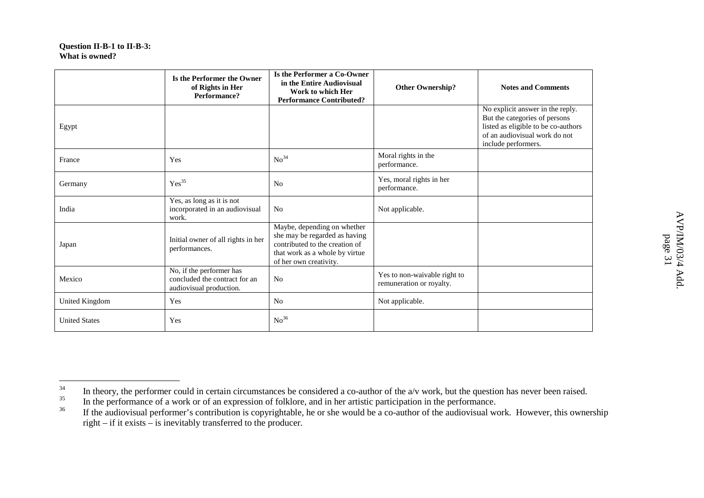#### **Question II-B-1 to II-B-3: What is owned?**

|                       | Is the Performer the Owner<br>of Rights in Her<br>Performance?                       | Is the Performer a Co-Owner<br>in the Entire Audiovisual<br>Work to which Her<br><b>Performance Contributed?</b>                                           | <b>Other Ownership?</b>                                  | <b>Notes and Comments</b>                                                                                                                                        |
|-----------------------|--------------------------------------------------------------------------------------|------------------------------------------------------------------------------------------------------------------------------------------------------------|----------------------------------------------------------|------------------------------------------------------------------------------------------------------------------------------------------------------------------|
| Egypt                 |                                                                                      |                                                                                                                                                            |                                                          | No explicit answer in the reply.<br>But the categories of persons<br>listed as eligible to be co-authors<br>of an audiovisual work do not<br>include performers. |
| France                | Yes                                                                                  | No <sup>34</sup>                                                                                                                                           | Moral rights in the<br>performance.                      |                                                                                                                                                                  |
| Germany               | Yes <sup>35</sup>                                                                    | N <sub>0</sub>                                                                                                                                             | Yes, moral rights in her<br>performance.                 |                                                                                                                                                                  |
| India                 | Yes, as long as it is not<br>incorporated in an audiovisual<br>work.                 | N <sub>0</sub>                                                                                                                                             | Not applicable.                                          |                                                                                                                                                                  |
| Japan                 | Initial owner of all rights in her<br>performances.                                  | Maybe, depending on whether<br>she may be regarded as having<br>contributed to the creation of<br>that work as a whole by virtue<br>of her own creativity. |                                                          |                                                                                                                                                                  |
| Mexico                | No, if the performer has<br>concluded the contract for an<br>audiovisual production. | N <sub>o</sub>                                                                                                                                             | Yes to non-waivable right to<br>remuneration or royalty. |                                                                                                                                                                  |
| <b>United Kingdom</b> | Yes                                                                                  | N <sub>0</sub>                                                                                                                                             | Not applicable.                                          |                                                                                                                                                                  |
| <b>United States</b>  | Yes                                                                                  | No <sup>36</sup>                                                                                                                                           |                                                          |                                                                                                                                                                  |

<sup>34</sup><sup>4</sup> In theory, the performer could in certain circumstances be considered a co-author of the a/v work, but the question has never been raised.

<sup>35</sup>In the performance of <sup>a</sup> work or of an expression of folklore, and in her artistic participation in the performance.

<sup>36</sup>If the audiovisual performer's contribution is copyrightable, he or she would be a co-author of the audiovisual work. However, this ownership right – if it exists – is inevitably transferred to the producer.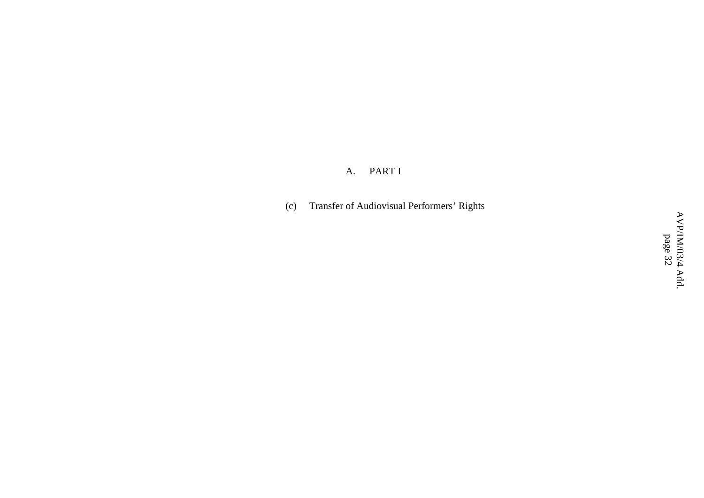A. PART I

(c) Transfer of Audiovisual Performers' Rights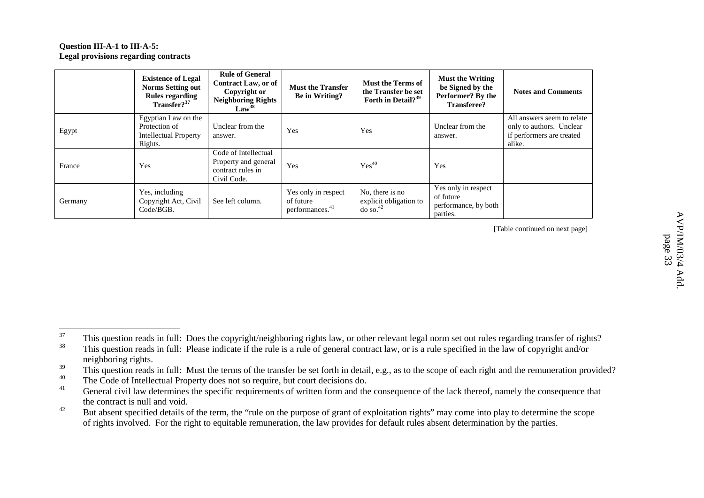#### **Question III-A-1 to III-A-5: Legal provisions regarding contracts**

|         | <b>Existence of Legal</b><br><b>Norms Setting out</b><br>Rules regarding<br>Transfer? <sup>37</sup> | <b>Rule of General</b><br><b>Contract Law, or of</b><br>Copyright or<br><b>Neighboring Rights</b><br>Law <sup>38</sup> | <b>Must the Transfer</b><br>Be in Writing?                      | <b>Must the Terms of</b><br>the Transfer be set<br>Forth in Detail? <sup>39</sup> | <b>Must the Writing</b><br>be Signed by the<br>Performer? By the<br>Transferee? | <b>Notes and Comments</b>                                                                     |
|---------|-----------------------------------------------------------------------------------------------------|------------------------------------------------------------------------------------------------------------------------|-----------------------------------------------------------------|-----------------------------------------------------------------------------------|---------------------------------------------------------------------------------|-----------------------------------------------------------------------------------------------|
| Egypt   | Egyptian Law on the<br>Protection of<br><b>Intellectual Property</b><br>Rights.                     | Unclear from the<br>answer.                                                                                            | Yes                                                             | Yes                                                                               | Unclear from the<br>answer.                                                     | All answers seem to relate<br>only to authors. Unclear<br>if performers are treated<br>alike. |
| France  | Yes                                                                                                 | Code of Intellectual<br>Property and general<br>contract rules in<br>Civil Code.                                       | Yes                                                             | $Yes^{40}$                                                                        | Yes                                                                             |                                                                                               |
| Germany | Yes, including<br>Copyright Act, Civil<br>Code/BGB.                                                 | See left column.                                                                                                       | Yes only in respect<br>of future<br>performances. <sup>41</sup> | No, there is no<br>explicit obligation to<br>$d$ <sub>o</sub> so. <sup>42</sup>   | Yes only in respect<br>of future<br>performance, by both<br>parties.            |                                                                                               |

<sup>37</sup> This question reads in full: Does the copyright/neighboring rights law, or other relevant legal norm set out rules regarding transfer of rights? 38This question reads in full: Please indicate if the rule is <sup>a</sup> rule of general contract law, or is <sup>a</sup> rule specified in the law of copyright and/or

neighboring rights.

<sup>39</sup>This question reads in full: Must the terms of the transfer be set forth in detail, e.g., as to the scope of each right and the remuneration provided?

<sup>40</sup> $\sigma$  The Code of Intellectual Property does not so require, but court decisions do.

<sup>41</sup> General civil law determines the specific requirements of written form and the consequence of the lack thereof, namely the consequence that the contract is null and void.

<sup>42</sup><sup>2</sup> But absent specified details of the term, the "rule on the purpose of grant of exploitation rights" may come into play to determine the scope of rights involved. For the right to equitable remuneration, the law provides for default rules absent determination by the parties.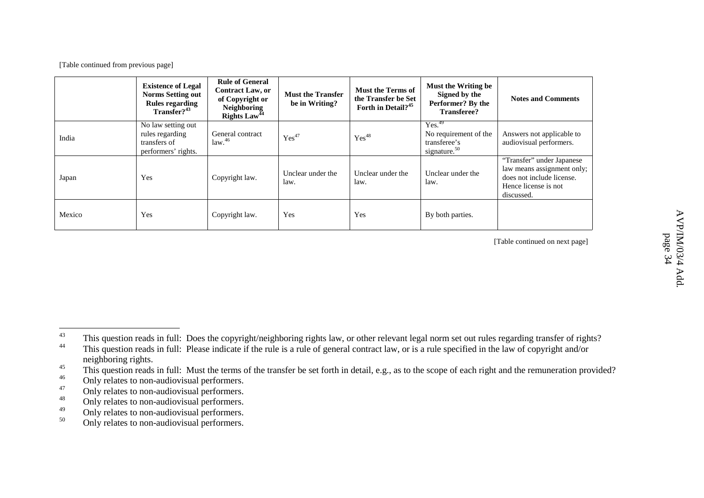|        | <b>Existence of Legal</b><br><b>Norms Setting out</b><br>Rules regarding<br>Transfer? <sup>43</sup> | <b>Rule of General</b><br><b>Contract Law, or</b><br>of Copyright or<br><b>Neighboring</b><br>Rights $Law44$ | <b>Must the Transfer</b><br>be in Writing? | <b>Must the Terms of</b><br>the Transfer be Set<br>Forth in Detail? <sup>45</sup> | Must the Writing be<br>Signed by the<br>Performer? By the<br><b>Transferee?</b> | <b>Notes and Comments</b>                                                                                                  |
|--------|-----------------------------------------------------------------------------------------------------|--------------------------------------------------------------------------------------------------------------|--------------------------------------------|-----------------------------------------------------------------------------------|---------------------------------------------------------------------------------|----------------------------------------------------------------------------------------------------------------------------|
| India  | No law setting out<br>rules regarding<br>transfers of<br>performers' rights.                        | General contract<br>law. <sup>46</sup>                                                                       | $Yes^{47}$                                 | $Yes^{48}$                                                                        | Yes. <sup>49</sup><br>No requirement of the<br>transferee's<br>signature. $50$  | Answers not applicable to<br>audiovisual performers.                                                                       |
| Japan  | Yes                                                                                                 | Copyright law.                                                                                               | Unclear under the<br>law.                  | Unclear under the<br>law.                                                         | Unclear under the<br>law.                                                       | "Transfer" under Japanese<br>law means assignment only;<br>does not include license.<br>Hence license is not<br>discussed. |
| Mexico | Yes                                                                                                 | Copyright law.                                                                                               | Yes                                        | Yes                                                                               | By both parties.                                                                |                                                                                                                            |

<sup>43</sup> This question reads in full: Does the copyright/neighboring rights law, or other relevant legal norm set out rules regarding transfer of rights? 44 This question reads in full: Please indicate if the rule is <sup>a</sup> rule of general contract law, or is <sup>a</sup> rule specified in the law of copyright and/or neighboring rights.

<sup>45</sup><sup>3</sup> This question reads in full: Must the terms of the transfer be set forth in detail, e.g., as to the scope of each right and the remuneration provided?

<sup>46</sup>Only relates to non-audiovisual performers.

<sup>47</sup>Only relates to non-audiovisual performers.

<sup>48</sup>Only relates to non-audiovisual performers.

<sup>49</sup>Only relates to non-audiovisual performers.

<sup>50</sup>Only relates to non-audiovisual performers.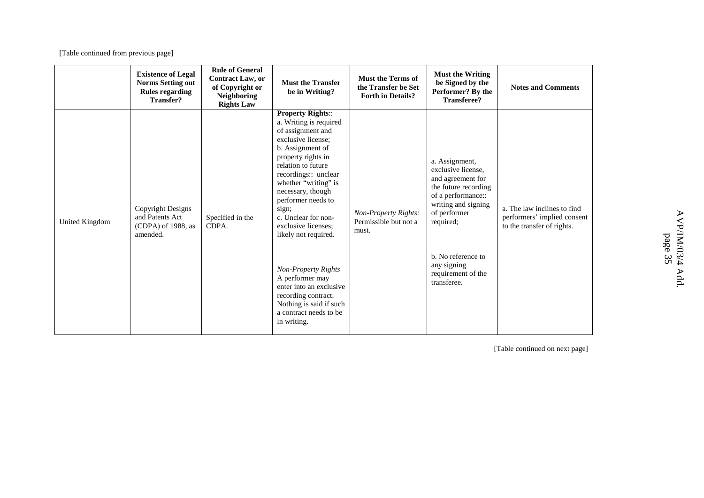|                | <b>Existence of Legal</b><br><b>Norms Setting out</b><br><b>Rules regarding</b><br><b>Transfer?</b> | <b>Rule of General</b><br><b>Contract Law, or</b><br>of Copyright or<br><b>Neighboring</b><br><b>Rights Law</b> | <b>Must the Transfer</b><br>be in Writing?                                                                                                                                                                                                                                                                                                                                                                                                                                                              | <b>Must the Terms of</b><br>the Transfer be Set<br><b>Forth in Details?</b> | <b>Must the Writing</b><br>be Signed by the<br>Performer? By the<br><b>Transferee?</b>                                                                                                                                                | <b>Notes and Comments</b>                                                                |
|----------------|-----------------------------------------------------------------------------------------------------|-----------------------------------------------------------------------------------------------------------------|---------------------------------------------------------------------------------------------------------------------------------------------------------------------------------------------------------------------------------------------------------------------------------------------------------------------------------------------------------------------------------------------------------------------------------------------------------------------------------------------------------|-----------------------------------------------------------------------------|---------------------------------------------------------------------------------------------------------------------------------------------------------------------------------------------------------------------------------------|------------------------------------------------------------------------------------------|
| United Kingdom | <b>Copyright Designs</b><br>and Patents Act<br>(CDPA) of 1988, as<br>amended.                       | Specified in the<br>CDPA.                                                                                       | <b>Property Rights::</b><br>a. Writing is required<br>of assignment and<br>exclusive license:<br>b. Assignment of<br>property rights in<br>relation to future<br>recordings:: unclear<br>whether "writing" is<br>necessary, though<br>performer needs to<br>sign;<br>c. Unclear for non-<br>exclusive licenses;<br>likely not required.<br>Non-Property Rights<br>A performer may<br>enter into an exclusive<br>recording contract.<br>Nothing is said if such<br>a contract needs to be<br>in writing. | Non-Property Rights:<br>Permissible but not a<br>must.                      | a. Assignment,<br>exclusive license.<br>and agreement for<br>the future recording<br>of a performance::<br>writing and signing<br>of performer<br>required;<br>b. No reference to<br>any signing<br>requirement of the<br>transferee. | a. The law inclines to find<br>performers' implied consent<br>to the transfer of rights. |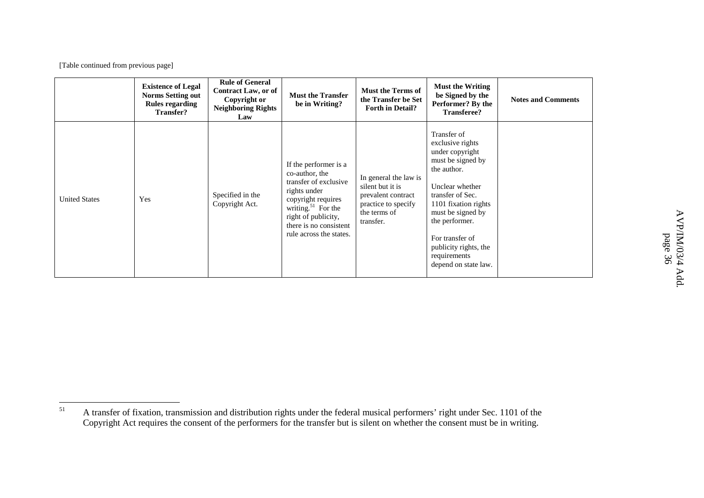|                      | <b>Existence of Legal</b><br><b>Norms Setting out</b><br><b>Rules regarding</b><br>Transfer? | <b>Rule of General</b><br><b>Contract Law, or of</b><br>Copyright or<br><b>Neighboring Rights</b><br>Law | <b>Must the Transfer</b><br>be in Writing?                                                                                                                                                                           | <b>Must the Terms of</b><br>the Transfer be Set<br><b>Forth in Detail?</b>                                          | <b>Must the Writing</b><br>be Signed by the<br>Performer? By the<br><b>Transferee?</b>                                                                                                                                                                                           | <b>Notes and Comments</b> |
|----------------------|----------------------------------------------------------------------------------------------|----------------------------------------------------------------------------------------------------------|----------------------------------------------------------------------------------------------------------------------------------------------------------------------------------------------------------------------|---------------------------------------------------------------------------------------------------------------------|----------------------------------------------------------------------------------------------------------------------------------------------------------------------------------------------------------------------------------------------------------------------------------|---------------------------|
| <b>United States</b> | Yes                                                                                          | Specified in the<br>Copyright Act.                                                                       | If the performer is a<br>co-author, the<br>transfer of exclusive<br>rights under<br>copyright requires<br>writing. <sup>51</sup> For the<br>right of publicity,<br>there is no consistent<br>rule across the states. | In general the law is<br>silent but it is<br>prevalent contract<br>practice to specify<br>the terms of<br>transfer. | Transfer of<br>exclusive rights<br>under copyright<br>must be signed by<br>the author.<br>Unclear whether<br>transfer of Sec.<br>1101 fixation rights<br>must be signed by<br>the performer.<br>For transfer of<br>publicity rights, the<br>requirements<br>depend on state law. |                           |

<sup>51</sup> A transfer of fixation, transmission and distribution rights under the federal musical performers' right under Sec. 1101 of the Copyright Act requires the consent of the performers for the transfer but is silent on whether the consent must be in writing.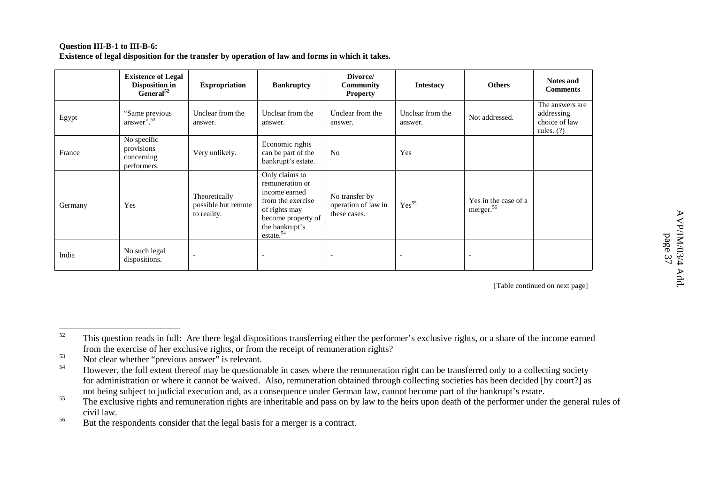#### **Question III-B-1 to III-B-6: Existence of legal disposition for the transfer by operation of law and forms in which it takes.**

|         | <b>Existence of Legal</b><br>Disposition in<br>General <sup>52</sup> | <b>Expropriation</b>                                | <b>Bankruptcy</b>                                                                                                                                         | Divorce/<br>Community<br><b>Property</b>              | <b>Intestacy</b>            | <b>Others</b>                                 | <b>Notes and</b><br><b>Comments</b>                            |
|---------|----------------------------------------------------------------------|-----------------------------------------------------|-----------------------------------------------------------------------------------------------------------------------------------------------------------|-------------------------------------------------------|-----------------------------|-----------------------------------------------|----------------------------------------------------------------|
| Egypt   | "Same previous<br>answer $^{5, 53}$                                  | Unclear from the<br>answer.                         | Unclear from the<br>answer.                                                                                                                               | Unclear from the<br>answer.                           | Unclear from the<br>answer. | Not addressed.                                | The answers are<br>addressing<br>choice of law<br>rules. $(?)$ |
| France  | No specific<br>provisions<br>concerning<br>performers.               | Very unlikely.                                      | Economic rights<br>can be part of the<br>bankrupt's estate.                                                                                               | No.                                                   | Yes                         |                                               |                                                                |
| Germany | Yes                                                                  | Theoretically<br>possible but remote<br>to reality. | Only claims to<br>remuneration or<br>income earned<br>from the exercise<br>of rights may<br>become property of<br>the bankrupt's<br>estate. <sup>54</sup> | No transfer by<br>operation of law in<br>these cases. | $Yes^{55}$                  | Yes in the case of a<br>merger. <sup>56</sup> |                                                                |
| India   | No such legal<br>dispositions.                                       | $\overline{\phantom{0}}$                            | $\overline{\phantom{0}}$                                                                                                                                  | $\overline{\phantom{0}}$                              |                             | $\overline{\phantom{a}}$                      |                                                                |

[Table continued on next page]

53<sup>3</sup> Not clear whether "previous answer" is relevant.

<sup>52</sup><sup>2</sup> This question reads in full: Are there legal dispositions transferring either the performer's exclusive rights, or a share of the income earned from the exercise of her exclusive rights, or from the receipt of remuneration rights?

<sup>54</sup> However, the full extent thereof may be questionable in cases where the remuneration right can be transferred only to <sup>a</sup> collecting society for administration or where it cannot be waived. Also, remuneration obtained through collecting societies has been decided [by court?] as not being subject to judicial execution and, as <sup>a</sup> consequence under German law, cannot become par<sup>t</sup> of the bankrupt's estate.

<sup>55</sup><sup>3</sup> The exclusive rights and remuneration rights are inheritable and pass on by law to the heirs upon death of the performer under the general rules of civil law.

<sup>56</sup><sup>o</sup> But the respondents consider that the legal basis for a merger is a contract.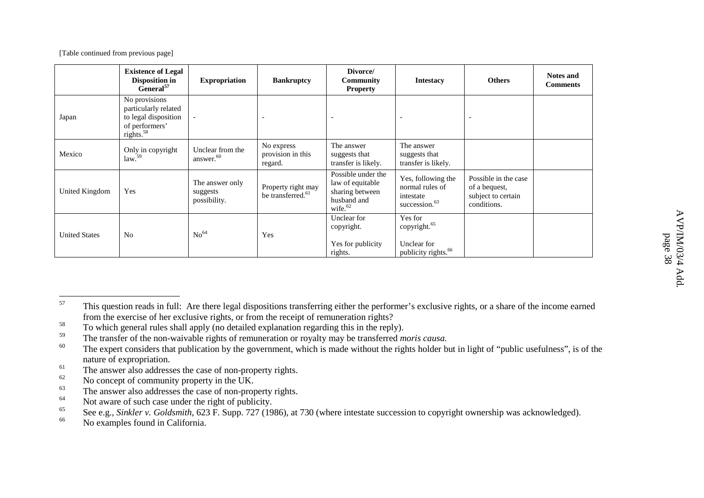|                      | <b>Existence of Legal</b><br>Disposition in<br>General <sup>57</sup>                            | <b>Expropriation</b>                        | <b>Bankruptcy</b>                                   | Divorce/<br><b>Community</b><br><b>Property</b>                                                 | <b>Intestacy</b>                                                                      | <b>Others</b>                                                              | <b>Notes and</b><br><b>Comments</b> |
|----------------------|-------------------------------------------------------------------------------------------------|---------------------------------------------|-----------------------------------------------------|-------------------------------------------------------------------------------------------------|---------------------------------------------------------------------------------------|----------------------------------------------------------------------------|-------------------------------------|
| Japan                | No provisions<br>particularly related<br>to legal disposition<br>of performers'<br>rights. $58$ | $\overline{\phantom{a}}$                    |                                                     | $\overline{\phantom{a}}$                                                                        |                                                                                       | $\overline{\phantom{a}}$                                                   |                                     |
| Mexico               | Only in copyright<br>law. <sup>59</sup>                                                         | Unclear from the<br>answer. <sup>60</sup>   | No express<br>provision in this<br>regard.          | The answer<br>suggests that<br>transfer is likely.                                              | The answer<br>suggests that<br>transfer is likely.                                    |                                                                            |                                     |
| United Kingdom       | Yes                                                                                             | The answer only<br>suggests<br>possibility. | Property right may<br>be transferred. <sup>61</sup> | Possible under the<br>law of equitable<br>sharing between<br>husband and<br>wife. <sup>62</sup> | Yes, following the<br>normal rules of<br>intestate<br>succession. <sup>63</sup>       | Possible in the case<br>of a bequest,<br>subject to certain<br>conditions. |                                     |
| <b>United States</b> | N <sub>0</sub>                                                                                  | No <sup>64</sup>                            | Yes                                                 | Unclear for<br>copyright.<br>Yes for publicity<br>rights.                                       | Yes for<br>copyright. <sup>65</sup><br>Unclear for<br>publicity rights. <sup>66</sup> |                                                                            |                                     |

<sup>57</sup> This question reads in full: Are there legal dispositions transferring either the performer's exclusive rights, or <sup>a</sup> share of the income earned from the exercise of her exclusive rights, or from the receipt of remuneration rights?

<sup>58</sup><sup>8</sup> To which general rules shall apply (no detailed explanation regarding this in the reply).

<sup>59</sup>The transfer of the non-waivable rights of remuneration or royalty may be transferred *moris causa.*

<sup>60</sup>The expert considers that publication by the government, which is made without the rights holder but in light of "public usefulness", is of the nature of expropriation.

<sup>61</sup><sup>1</sup> The answer also addresses the case of non-property rights.

<sup>62</sup> $\sim$  No concept of community property in the UK.

<sup>63</sup><sup>3</sup> The answer also addresses the case of non-property rights.

<sup>64</sup><sup>4</sup> Not aware of such case under the right of publicity.

<sup>65</sup>See e.g., *Sinkler v. Goldsmith*, 623 F. Supp. 727 (1986), at 730 (where intestate succession to copyright ownership was acknowledged).

<sup>66</sup><sup>o</sup> No examples found in California.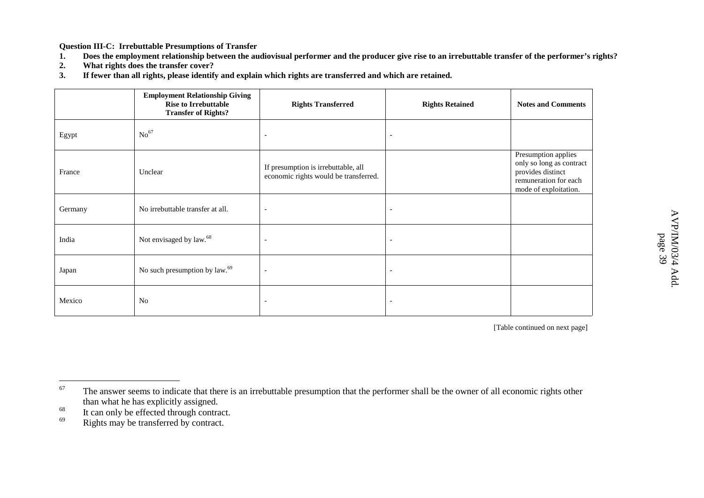**Question III-C: Irrebuttable Presumptions of Transfer**

- **1.**. Does the employment relationship between the audiovisual performer and the producer give rise to an irrebuttable transfer of the performer's rights?
- **2.What rights does the transfer cover?**
- **3.**. If fewer than all rights, please identify and explain which rights are transferred and which are retained.

|         | <b>Employment Relationship Giving</b><br><b>Rise to Irrebuttable</b><br><b>Transfer of Rights?</b> | <b>Rights Transferred</b>                                                    | <b>Rights Retained</b>   | <b>Notes and Comments</b>                                                                                              |
|---------|----------------------------------------------------------------------------------------------------|------------------------------------------------------------------------------|--------------------------|------------------------------------------------------------------------------------------------------------------------|
| Egypt   | No <sup>67</sup>                                                                                   | $\overline{\phantom{0}}$                                                     | $\overline{\phantom{a}}$ |                                                                                                                        |
| France  | Unclear                                                                                            | If presumption is irrebuttable, all<br>economic rights would be transferred. |                          | Presumption applies<br>only so long as contract<br>provides distinct<br>remuneration for each<br>mode of exploitation. |
| Germany | No irrebuttable transfer at all.                                                                   | $\overline{\phantom{a}}$                                                     | $\overline{\phantom{a}}$ |                                                                                                                        |
| India   | Not envisaged by law. <sup>68</sup>                                                                | $\overline{\phantom{a}}$                                                     | $\overline{\phantom{a}}$ |                                                                                                                        |
| Japan   | No such presumption by law. <sup>69</sup>                                                          | $\overline{\phantom{0}}$                                                     | $\overline{\phantom{a}}$ |                                                                                                                        |
| Mexico  | N <sub>o</sub>                                                                                     | $\overline{\phantom{0}}$                                                     | $\overline{\phantom{a}}$ |                                                                                                                        |

<sup>67</sup> The answer seems to indicate that there is an irrebuttable presumption that the performer shall be the owner of all economic rights other than what he has explicitly assigned.

<sup>68</sup><sup>o</sup> It can only be effected through contract.

<sup>69</sup>Rights may be transferred by contract.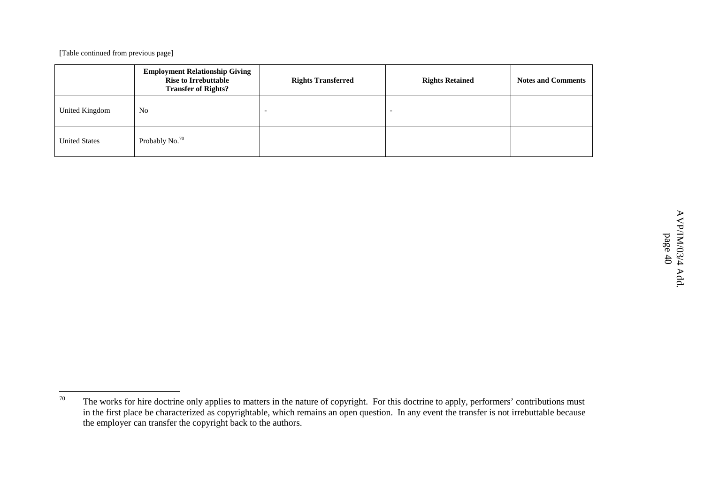|                      | <b>Employment Relationship Giving</b><br><b>Rise to Irrebuttable</b><br><b>Transfer of Rights?</b> | <b>Rights Transferred</b> | <b>Rights Retained</b> | <b>Notes and Comments</b> |
|----------------------|----------------------------------------------------------------------------------------------------|---------------------------|------------------------|---------------------------|
| United Kingdom       | No                                                                                                 | $\overline{\phantom{0}}$  |                        |                           |
| <b>United States</b> | Probably No. <sup>70</sup>                                                                         |                           |                        |                           |

<sup>70</sup>The works for hire doctrine only applies to matters in the nature of copyright. For this doctrine to apply, performers' contributions must in the first place be characterized as copyrightable, which remains an open question. In any event the transfer is not irrebuttable because the employer can transfer the copyright back to the authors.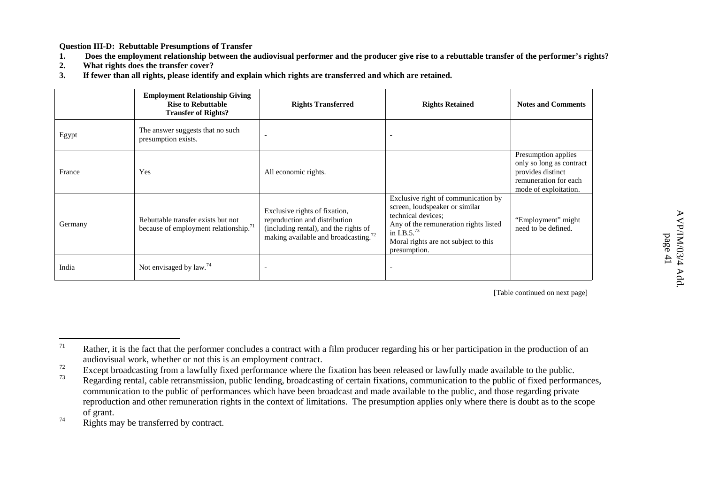**Question III-D: Rebuttable Presumptions of Transfer**

- **1.**. Does the employment relationship between the audiovisual performer and the producer give rise to a rebuttable transfer of the performer's rights?
- **2.What rights does the transfer cover?**
- **3.**. If fewer than all rights, please identify and explain which rights are transferred and which are retained.

|         | <b>Employment Relationship Giving</b><br><b>Rise to Rebuttable</b><br><b>Transfer of Rights?</b> | <b>Rights Transferred</b>                                                                                                                                   | <b>Rights Retained</b>                                                                                                                                                                                            | <b>Notes and Comments</b>                                                                                              |
|---------|--------------------------------------------------------------------------------------------------|-------------------------------------------------------------------------------------------------------------------------------------------------------------|-------------------------------------------------------------------------------------------------------------------------------------------------------------------------------------------------------------------|------------------------------------------------------------------------------------------------------------------------|
| Egypt   | The answer suggests that no such<br>presumption exists.                                          |                                                                                                                                                             |                                                                                                                                                                                                                   |                                                                                                                        |
| France  | Yes                                                                                              | All economic rights.                                                                                                                                        |                                                                                                                                                                                                                   | Presumption applies<br>only so long as contract<br>provides distinct<br>remuneration for each<br>mode of exploitation. |
| Germany | Rebuttable transfer exists but not<br>because of employment relationship. <sup>71</sup>          | Exclusive rights of fixation,<br>reproduction and distribution<br>(including rental), and the rights of<br>making available and broadcasting. <sup>72</sup> | Exclusive right of communication by<br>screen, loudspeaker or similar<br>technical devices;<br>Any of the remuneration rights listed<br>in I.B.5. $^{73}$<br>Moral rights are not subject to this<br>presumption. | "Employment" might<br>need to be defined.                                                                              |
| India   | Not envisaged by $law.74$                                                                        |                                                                                                                                                             |                                                                                                                                                                                                                   |                                                                                                                        |

[Table continued on next page]

74Rights may be transferred by contract.

<sup>71</sup> Rather, it is the fact that the performer concludes <sup>a</sup> contract with <sup>a</sup> film producer regarding his or her participation in the production of an audiovisual work, whether or not this is an employment contract.

<sup>72</sup>Except broadcasting from <sup>a</sup> lawfully fixed performance where the fixation has been released or lawfully made available to the public.

<sup>73</sup> Regarding rental, cable retransmission, public lending, broadcasting of certain fixations, communication to the public of fixed performances, communication to the public of performances which have been broadcast and made available to the public, and those regarding private reproduction and other remuneration rights in the context of limitations. The presumption applies only where there is doubt as to the scope of grant.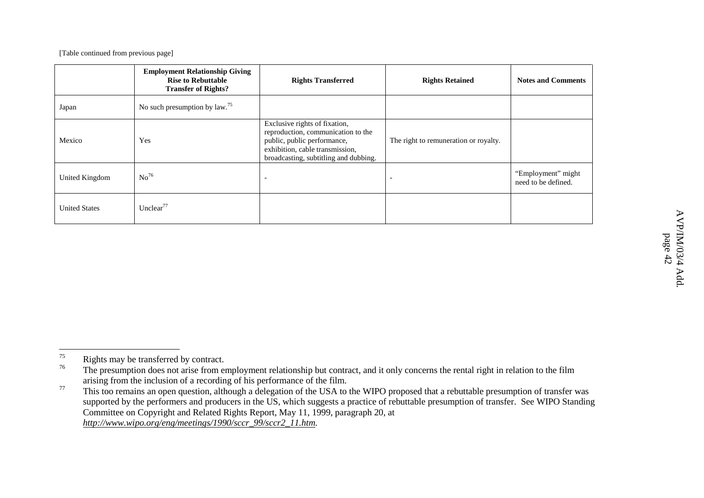|                      | <b>Employment Relationship Giving</b><br><b>Rise to Rebuttable</b><br><b>Transfer of Rights?</b> | <b>Rights Transferred</b>                                                                                                                                                      | <b>Rights Retained</b>                | <b>Notes and Comments</b>                 |
|----------------------|--------------------------------------------------------------------------------------------------|--------------------------------------------------------------------------------------------------------------------------------------------------------------------------------|---------------------------------------|-------------------------------------------|
| Japan                | No such presumption by $law.75$                                                                  |                                                                                                                                                                                |                                       |                                           |
| Mexico               | Yes                                                                                              | Exclusive rights of fixation,<br>reproduction, communication to the<br>public, public performance,<br>exhibition, cable transmission,<br>broadcasting, subtitling and dubbing. | The right to remuneration or royalty. |                                           |
| United Kingdom       | No <sup>76</sup>                                                                                 |                                                                                                                                                                                |                                       | "Employment" might<br>need to be defined. |
| <b>United States</b> | Unclear <sup>77</sup>                                                                            |                                                                                                                                                                                |                                       |                                           |

 $\triangleright$ 

p a g e

<sup>75</sup>Rights may be transferred by contract.

<sup>76</sup><sup>o</sup> The presumption does not arise from employment relationship but contract, and it only concerns the rental right in relation to the film arising from the inclusion of <sup>a</sup> recording of his performance of the film.

<sup>77</sup> This too remains an open question, although <sup>a</sup> delegation of the USA to the WIPO proposed that <sup>a</sup> rebuttable presumption of transfer was supported by the performers and producers in the US, which suggests <sup>a</sup> practice of rebuttable presumption of transfer. See WIPO Standing Committee on Copyright and Related Rights Report, May 11, 1999, paragraph 20, at *http://www.wipo.org/eng/meetings/1990/sccr\_99/sccr2\_11.htm.*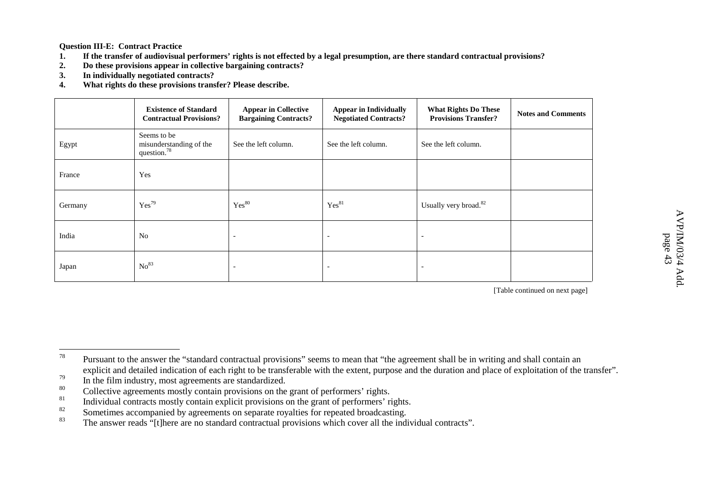**Question III-E: Contract Practice**

- **1.**. If the transfer of audiovisual performers' rights is not effected by a legal presumption, are there standard contractual provisions?
- **2.Do these provisions appear in collective bargaining contracts?**
- **3.In individually negotiated contracts?**
- **4.What rights do these provisions transfer? Please describe.**

|         | <b>Existence of Standard</b><br><b>Contractual Provisions?</b> | <b>Appear in Collective</b><br><b>Bargaining Contracts?</b> | <b>Appear in Individually</b><br><b>Negotiated Contracts?</b> | <b>What Rights Do These</b><br><b>Provisions Transfer?</b> | <b>Notes and Comments</b> |
|---------|----------------------------------------------------------------|-------------------------------------------------------------|---------------------------------------------------------------|------------------------------------------------------------|---------------------------|
| Egypt   | Seems to be<br>misunderstanding of the<br>question. $78$       | See the left column.                                        | See the left column.                                          | See the left column.                                       |                           |
| France  | Yes                                                            |                                                             |                                                               |                                                            |                           |
| Germany | $Yes^{79}$                                                     | Yes <sup>80</sup>                                           | Yes <sup>81</sup>                                             | Usually very broad. <sup>82</sup>                          |                           |
| India   | N <sub>o</sub>                                                 | $\overline{\phantom{0}}$                                    |                                                               |                                                            |                           |
| Japan   | No <sup>83</sup>                                               | $\overline{\phantom{a}}$                                    |                                                               |                                                            |                           |

<sup>78</sup> Pursuant to the answer the "standard contractual provisions" seems to mean that "the agreemen<sup>t</sup> shall be in writing and shall contain an explicit and detailed indication of each right to be transferable with the extent, purpose and the duration and place of exploitation of the transfer".

<sup>79</sup><sup>9</sup> In the film industry, most agreements are standardized.

<sup>80</sup> $\degree$  Collective agreements mostly contain provisions on the grant of performers' rights.

<sup>81</sup>Individual contracts mostly contain explicit provisions on the gran<sup>t</sup> of performers' rights.

<sup>82</sup><sup>2</sup> Sometimes accompanied by agreements on separate royalties for repeated broadcasting.

<sup>83</sup>The answer reads "[t]here are no standard contractual provisions which cover all the individual contracts".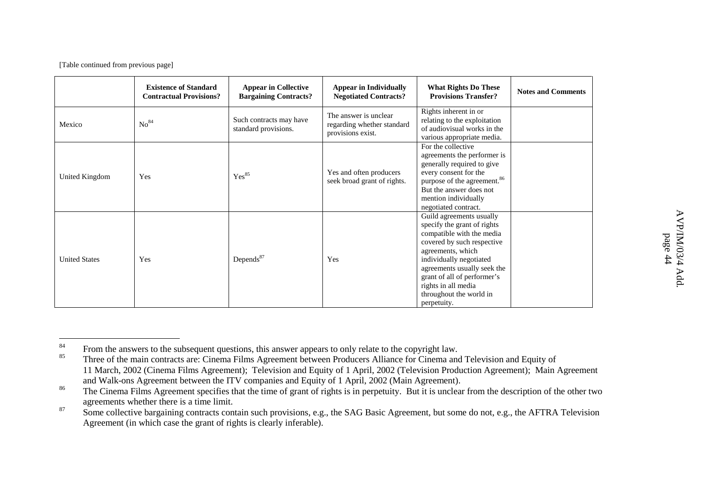|                      | <b>Existence of Standard</b><br><b>Contractual Provisions?</b> | <b>Appear in Collective</b><br><b>Bargaining Contracts?</b> | <b>Appear in Individually</b><br><b>Negotiated Contracts?</b>            | <b>What Rights Do These</b><br><b>Provisions Transfer?</b>                                                                                                                                                                                                                                        | <b>Notes and Comments</b> |
|----------------------|----------------------------------------------------------------|-------------------------------------------------------------|--------------------------------------------------------------------------|---------------------------------------------------------------------------------------------------------------------------------------------------------------------------------------------------------------------------------------------------------------------------------------------------|---------------------------|
| Mexico               | No <sup>84</sup>                                               | Such contracts may have<br>standard provisions.             | The answer is unclear<br>regarding whether standard<br>provisions exist. | Rights inherent in or<br>relating to the exploitation<br>of audiovisual works in the<br>various appropriate media.                                                                                                                                                                                |                           |
| United Kingdom       | Yes                                                            | Yes <sup>85</sup>                                           | Yes and often producers<br>seek broad grant of rights.                   | For the collective<br>agreements the performer is<br>generally required to give<br>every consent for the<br>purpose of the agreement. <sup>86</sup><br>But the answer does not<br>mention individually<br>negotiated contract.                                                                    |                           |
| <b>United States</b> | Yes                                                            | Depends <sup>87</sup>                                       | Yes                                                                      | Guild agreements usually<br>specify the grant of rights<br>compatible with the media<br>covered by such respective<br>agreements, which<br>individually negotiated<br>agreements usually seek the<br>grant of all of performer's<br>rights in all media<br>throughout the world in<br>perpetuity. |                           |

<sup>84</sup>From the answers to the subsequent questions, this answer appears to only relate to the copyright law.

<sup>85</sup> Three of the main contracts are: Cinema Films Agreement between Producers Alliance for Cinema and Television and Equity of 11 March, 2002 (Cinema Films Agreement); Television and Equity of 1 April, 2002 (Television Production Agreement); Main Agreement and Walk-ons Agreement between the ITV companies and Equity of 1 April, 2002 (Main Agreement).

<sup>86</sup><sup>o</sup> The Cinema Films Agreement specifies that the time of grant of rights is in perpetuity. But it is unclear from the description of the other two agreements whether there is <sup>a</sup> time limit.

<sup>87</sup> Some collective bargaining contracts contain such provisions, e.g., the SAG Basic Agreement, but some do not, e.g., the AFTRA Television Agreement (in which case the gran<sup>t</sup> of rights is clearly inferable).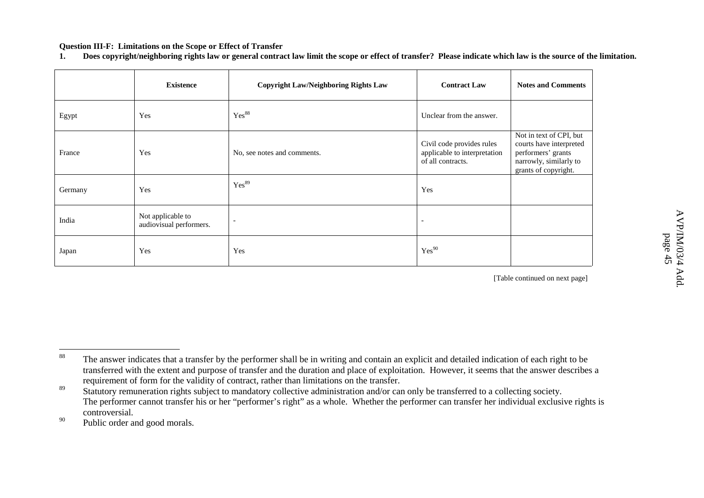#### **Question III-F: Limitations on the Scope or Effect of Transfer**

**1.**. Does copyright/neighboring rights law or general contract law limit the scope or effect of transfer? Please indicate which law is the source of the limitation.

|         | <b>Existence</b>                             | <b>Copyright Law/Neighboring Rights Law</b> | <b>Contract Law</b>                                                            | <b>Notes and Comments</b>                                                                                                  |
|---------|----------------------------------------------|---------------------------------------------|--------------------------------------------------------------------------------|----------------------------------------------------------------------------------------------------------------------------|
| Egypt   | Yes                                          | Yes <sup>88</sup>                           | Unclear from the answer.                                                       |                                                                                                                            |
| France  | Yes                                          | No, see notes and comments.                 | Civil code provides rules<br>applicable to interpretation<br>of all contracts. | Not in text of CPI, but<br>courts have interpreted<br>performers' grants<br>narrowly, similarly to<br>grants of copyright. |
| Germany | Yes                                          | Yes <sup>89</sup>                           | Yes                                                                            |                                                                                                                            |
| India   | Not applicable to<br>audiovisual performers. |                                             | $\overline{a}$                                                                 |                                                                                                                            |
| Japan   | Yes                                          | Yes                                         | Yes <sup>90</sup>                                                              |                                                                                                                            |

<sup>88</sup> The answer indicates that <sup>a</sup> transfer by the performer shall be in writing and contain an explicit and detailed indication of each right to be transferred with the extent and purpose of transfer and the duration and place of exploitation. However, it seems that the answer describes <sup>a</sup> requirement of form for the validity of contract, rather than limitations on the transfer.

<sup>89</sup> Statutory remuneration rights subject to mandatory collective administration and/or can only be transferred to <sup>a</sup> collecting society. The performer cannot transfer his or her "performer's right" as <sup>a</sup> whole. Whether the performer can transfer her individual exclusive rights is controversial.

<sup>90</sup><sup>0</sup> Public order and good morals.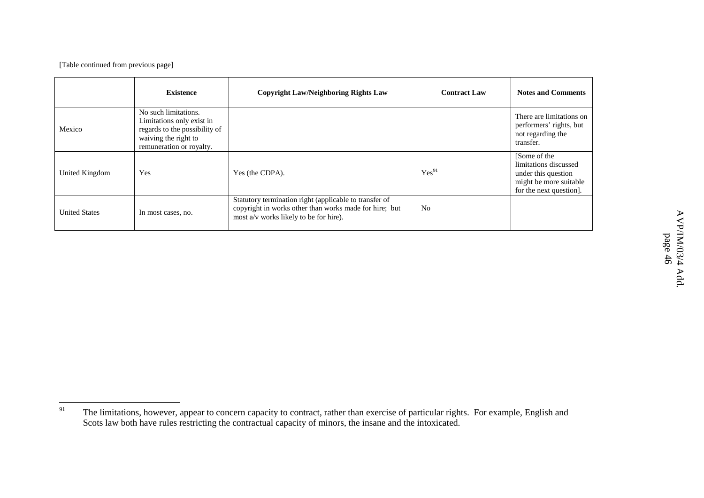|                      | <b>Existence</b>                                                                                                                       | <b>Copyright Law/Neighboring Rights Law</b>                                                                                                                | <b>Contract Law</b> | <b>Notes and Comments</b>                                                                                         |
|----------------------|----------------------------------------------------------------------------------------------------------------------------------------|------------------------------------------------------------------------------------------------------------------------------------------------------------|---------------------|-------------------------------------------------------------------------------------------------------------------|
| Mexico               | No such limitations.<br>Limitations only exist in<br>regards to the possibility of<br>waiving the right to<br>remuneration or royalty. |                                                                                                                                                            |                     | There are limitations on<br>performers' rights, but<br>not regarding the<br>transfer.                             |
| United Kingdom       | Yes                                                                                                                                    | Yes (the CDPA).                                                                                                                                            | Yes <sup>91</sup>   | [Some of the<br>limitations discussed<br>under this question<br>might be more suitable<br>for the next question]. |
| <b>United States</b> | In most cases, no.                                                                                                                     | Statutory termination right (applicable to transfer of<br>copyright in works other than works made for hire; but<br>most a/v works likely to be for hire). | <b>No</b>           |                                                                                                                   |

<sup>91</sup><sup>1</sup> The limitations, however, appear to concern capacity to contract, rather than exercise of particular rights. For example, English and Scots law both have rules restricting the contractual capacity of minors, the insane and the intoxicated.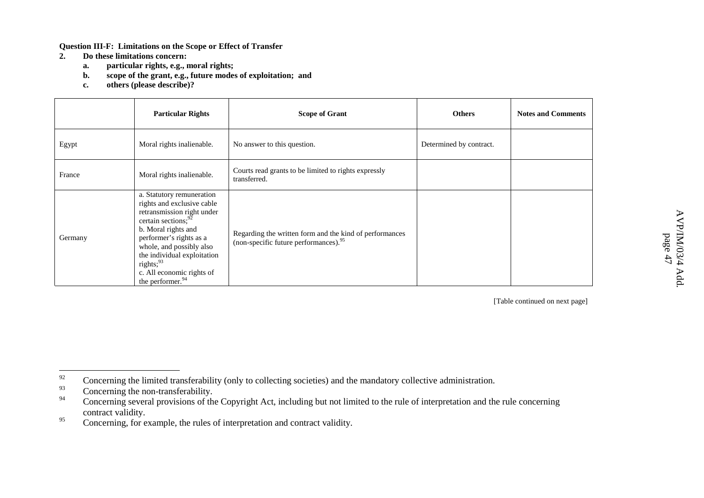**Question III-F: Limitations on the Scope or Effect of Transfer**

- **2. Do these limitations concern:**
	- **a.particular rights, e.g., moral rights;**
	- **b.scope of the grant, e.g., future modes of exploitation; and**
	- **c.others (please describe)?**

|         | <b>Particular Rights</b>                                                                                                                                                                                                                                                                                           | <b>Scope of Grant</b>                                                                                        | <b>Others</b>           | <b>Notes and Comments</b> |
|---------|--------------------------------------------------------------------------------------------------------------------------------------------------------------------------------------------------------------------------------------------------------------------------------------------------------------------|--------------------------------------------------------------------------------------------------------------|-------------------------|---------------------------|
| Egypt   | Moral rights inalienable.                                                                                                                                                                                                                                                                                          | No answer to this question.                                                                                  | Determined by contract. |                           |
| France  | Moral rights inalienable.                                                                                                                                                                                                                                                                                          | Courts read grants to be limited to rights expressly<br>transferred.                                         |                         |                           |
| Germany | a. Statutory remuneration<br>rights and exclusive cable<br>retransmission right under<br>certain sections; <sup>92</sup><br>b. Moral rights and<br>performer's rights as a<br>whole, and possibly also<br>the individual exploitation<br>rights; $93$<br>c. All economic rights of<br>the performer. <sup>94</sup> | Regarding the written form and the kind of performances<br>(non-specific future performances). <sup>95</sup> |                         |                           |

<sup>92</sup>Concerning the limited transferability (only to collecting societies) and the mandatory collective administration.

<sup>93</sup>Concerning the non-transferability.

<sup>94</sup> Concerning several provisions of the Copyright Act, including but not limited to the rule of interpretation and the rule concerning contract validity.

<sup>95</sup>Concerning, for example, the rules of interpretation and contract validity.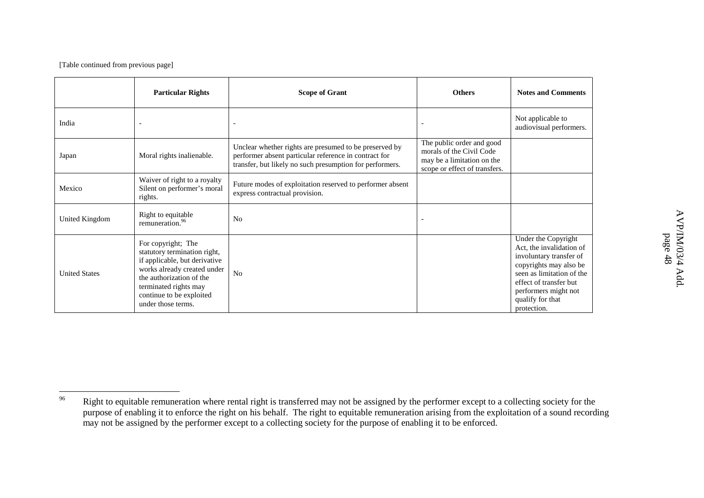|                      | <b>Particular Rights</b>                                                                                                                                                                                                  | <b>Scope of Grant</b>                                                                                                                                                       | <b>Others</b>                                                                                                        | <b>Notes and Comments</b>                                                                                                                                                                                              |
|----------------------|---------------------------------------------------------------------------------------------------------------------------------------------------------------------------------------------------------------------------|-----------------------------------------------------------------------------------------------------------------------------------------------------------------------------|----------------------------------------------------------------------------------------------------------------------|------------------------------------------------------------------------------------------------------------------------------------------------------------------------------------------------------------------------|
| India                |                                                                                                                                                                                                                           |                                                                                                                                                                             |                                                                                                                      | Not applicable to<br>audiovisual performers.                                                                                                                                                                           |
| Japan                | Moral rights inalienable.                                                                                                                                                                                                 | Unclear whether rights are presumed to be preserved by<br>performer absent particular reference in contract for<br>transfer, but likely no such presumption for performers. | The public order and good<br>morals of the Civil Code<br>may be a limitation on the<br>scope or effect of transfers. |                                                                                                                                                                                                                        |
| Mexico               | Waiver of right to a royalty<br>Silent on performer's moral<br>rights.                                                                                                                                                    | Future modes of exploitation reserved to performer absent<br>express contractual provision.                                                                                 |                                                                                                                      |                                                                                                                                                                                                                        |
| United Kingdom       | Right to equitable<br>remuneration. <sup>96</sup>                                                                                                                                                                         | N <sub>0</sub>                                                                                                                                                              |                                                                                                                      |                                                                                                                                                                                                                        |
| <b>United States</b> | For copyright; The<br>statutory termination right,<br>if applicable, but derivative<br>works already created under<br>the authorization of the<br>terminated rights may<br>continue to be exploited<br>under those terms. | N <sub>o</sub>                                                                                                                                                              |                                                                                                                      | Under the Copyright<br>Act, the invalidation of<br>involuntary transfer of<br>copyrights may also be<br>seen as limitation of the<br>effect of transfer but<br>performers might not<br>qualify for that<br>protection. |

<sup>96</sup><sup>o</sup> Right to equitable remuneration where rental right is transferred may not be assigned by the performer except to a collecting society for the purpose of enabling it to enforce the right on his behalf. The right to equitable remuneration arising from the exploitation of <sup>a</sup> sound recording may not be assigned by the performer except to a collecting society for the purpose of enabling it to be enforced.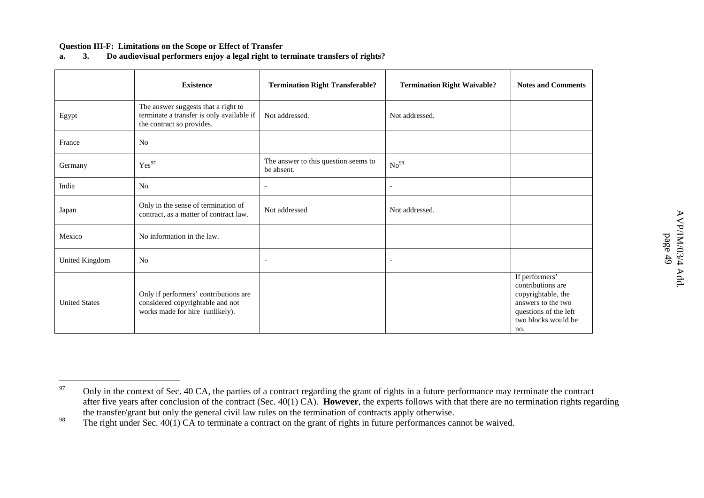#### **Question III-F: Limitations on the Scope or Effect of Transfer**

#### **a.3. Do audiovisual performers enjoy <sup>a</sup> legal right to terminate transfers of rights?**

|                      | <b>Existence</b>                                                                                              | <b>Termination Right Transferable?</b>             | <b>Termination Right Waivable?</b> | <b>Notes and Comments</b>                                                                                                              |
|----------------------|---------------------------------------------------------------------------------------------------------------|----------------------------------------------------|------------------------------------|----------------------------------------------------------------------------------------------------------------------------------------|
| Egypt                | The answer suggests that a right to<br>terminate a transfer is only available if<br>the contract so provides. | Not addressed.                                     | Not addressed.                     |                                                                                                                                        |
| France               | N <sub>o</sub>                                                                                                |                                                    |                                    |                                                                                                                                        |
| Germany              | Yes <sup>97</sup>                                                                                             | The answer to this question seems to<br>be absent. | No <sup>98</sup>                   |                                                                                                                                        |
| India                | No                                                                                                            | $\overline{\phantom{a}}$                           | $\blacksquare$                     |                                                                                                                                        |
| Japan                | Only in the sense of termination of<br>contract, as a matter of contract law.                                 | Not addressed                                      | Not addressed.                     |                                                                                                                                        |
| Mexico               | No information in the law.                                                                                    |                                                    |                                    |                                                                                                                                        |
| United Kingdom       | No                                                                                                            | $\overline{\phantom{a}}$                           | $\overline{\phantom{a}}$           |                                                                                                                                        |
| <b>United States</b> | Only if performers' contributions are<br>considered copyrightable and not<br>works made for hire (unlikely).  |                                                    |                                    | If performers'<br>contributions are<br>copyrightable, the<br>answers to the two<br>questions of the left<br>two blocks would be<br>no. |

<sup>97</sup> Only in the context of Sec. 40 CA, the parties of <sup>a</sup> contract regarding the gran<sup>t</sup> of rights in <sup>a</sup> future performance may terminate the contract after five years after conclusion of the contract (Sec. 40(1) CA). **However**, the experts follows with that there are no termination rights regarding the transfer/grant but only the general civil law rules on the termination of contracts apply otherwise.

<sup>98</sup><sup>o</sup> The right under Sec. 40(1) CA to terminate a contract on the grant of rights in future performances cannot be waived.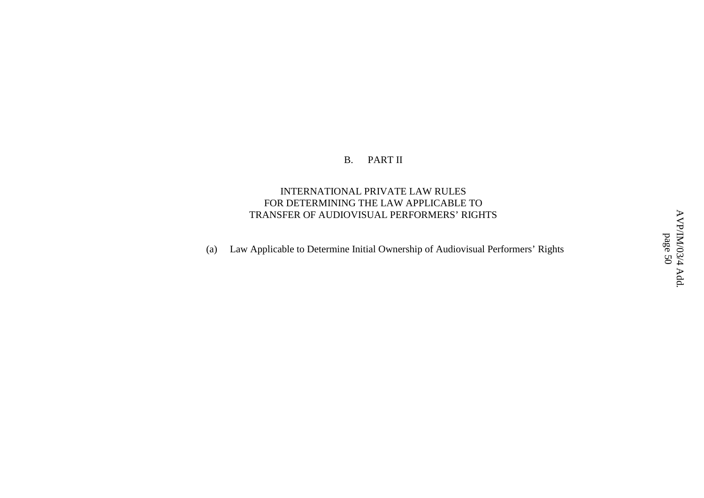#### B.PART II

### INTERNATIONAL PRIVATE LAW RULES FOR DETERMINING THE LAW APPLICABLE TO TRANSFER OF AUDIOVISUAL PERFORMERS' RIGHTS

(a) Law Applicable to Determine Initial Ownership of Audiovisual Performers' Rights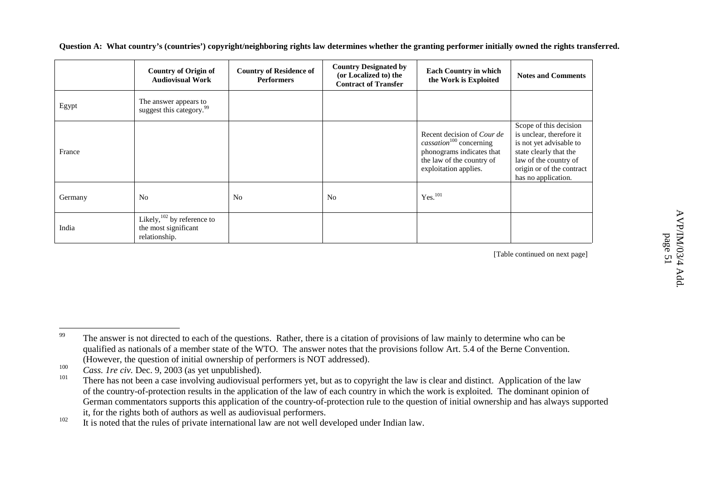| Question A: What country's (countries') copyright/neighboring rights law determines whether the granting performer initially owned the rights transferred. |  |
|------------------------------------------------------------------------------------------------------------------------------------------------------------|--|
|------------------------------------------------------------------------------------------------------------------------------------------------------------|--|

|         | <b>Country of Origin of</b><br><b>Audiovisual Work</b>                 | <b>Country of Residence of</b><br><b>Performers</b> | <b>Country Designated by</b><br>(or Localized to) the<br><b>Contract of Transfer</b> | <b>Each Country in which</b><br>the Work is Exploited                                                                                                       | <b>Notes and Comments</b>                                                                                                                                                            |
|---------|------------------------------------------------------------------------|-----------------------------------------------------|--------------------------------------------------------------------------------------|-------------------------------------------------------------------------------------------------------------------------------------------------------------|--------------------------------------------------------------------------------------------------------------------------------------------------------------------------------------|
| Egypt   | The answer appears to<br>suggest this category. <sup>99</sup>          |                                                     |                                                                                      |                                                                                                                                                             |                                                                                                                                                                                      |
| France  |                                                                        |                                                     |                                                                                      | Recent decision of <i>Cour de</i><br>cassation <sup>100</sup> concerning<br>phonograms indicates that<br>the law of the country of<br>exploitation applies. | Scope of this decision<br>is unclear, therefore it<br>is not yet advisable to<br>state clearly that the<br>law of the country of<br>origin or of the contract<br>has no application. |
| Germany | N <sub>o</sub>                                                         | N <sub>0</sub>                                      | N <sub>o</sub>                                                                       | Yes. <sup>101</sup>                                                                                                                                         |                                                                                                                                                                                      |
| India   | Likely, $102$ by reference to<br>the most significant<br>relationship. |                                                     |                                                                                      |                                                                                                                                                             |                                                                                                                                                                                      |

<sup>99</sup><sup>7</sup> The answer is not directed to each of the questions. Rather, there is a citation of provisions of law mainly to determine who can be qualified as nationals of <sup>a</sup> member state of the WTO. The answer notes that the provisions follow Art. 5.4 of the Berne Convention. (However, the question of initial ownership of performers is NOT addressed).

<sup>100</sup>*Cass. 1re civ.* Dec. 9, 2003 (as ye<sup>t</sup> unpublished).

<sup>101</sup><sup>1</sup> There has not been a case involving audiovisual performers yet, but as to copyright the law is clear and distinct. Application of the law of the country-of-protection results in the application of the law of each country in which the work is exploited. The dominant opinion of German commentators supports this application of the country-of-protection rule to the question of initial ownership and has always supported it, for the rights both of authors as well as audiovisual performers.

<sup>102</sup> $\mathbb{I}^2$  It is noted that the rules of private international law are not well developed under Indian law.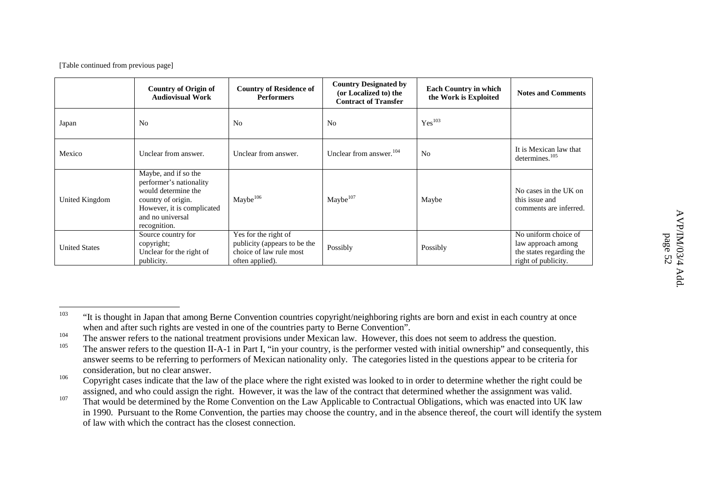|                      | Country of Origin of<br><b>Audiovisual Work</b>                                                                                                                | <b>Country of Residence of</b><br><b>Performers</b>                                                | <b>Country Designated by</b><br>(or Localized to) the<br><b>Contract of Transfer</b> | <b>Each Country in which</b><br>the Work is Exploited | <b>Notes and Comments</b>                                                                     |
|----------------------|----------------------------------------------------------------------------------------------------------------------------------------------------------------|----------------------------------------------------------------------------------------------------|--------------------------------------------------------------------------------------|-------------------------------------------------------|-----------------------------------------------------------------------------------------------|
| Japan                | N <sub>0</sub>                                                                                                                                                 | N <sub>0</sub>                                                                                     | N <sub>0</sub>                                                                       | Yes <sup>103</sup>                                    |                                                                                               |
| Mexico               | Unclear from answer.                                                                                                                                           | Unclear from answer.                                                                               | Unclear from answer. <sup>104</sup>                                                  | N <sub>0</sub>                                        | It is Mexican law that<br>determines. <sup>105</sup>                                          |
| United Kingdom       | Maybe, and if so the<br>performer's nationality<br>would determine the<br>country of origin.<br>However, it is complicated<br>and no universal<br>recognition. | Maybe <sup>106</sup>                                                                               | Maybe <sup>107</sup>                                                                 | Maybe                                                 | No cases in the UK on<br>this issue and<br>comments are inferred.                             |
| <b>United States</b> | Source country for<br>copyright;<br>Unclear for the right of<br>publicity.                                                                                     | Yes for the right of<br>publicity (appears to be the<br>choice of law rule most<br>often applied). | Possibly                                                                             | Possibly                                              | No uniform choice of<br>law approach among<br>the states regarding the<br>right of publicity. |

<sup>103</sup> "It is thought in Japan that among Berne Convention countries copyright/neighboring rights are born and exist in each country at once when and after such rights are vested in one of the countries party to Berne Convention".

<sup>104</sup><sup>4</sup> The answer refers to the national treatment provisions under Mexican law. However, this does not seem to address the question.

<sup>105</sup>The answer refers to the question II-A-1 in Part I, "in your country, is the performer vested with initial ownership" and consequently, this answer seems to be referring to performers of Mexican nationality only. The categories listed in the questions appear to be criteria for consideration, but no clear answer.

<sup>106</sup> Copyright cases indicate that the law of the place where the right existed was looked to in order to determine whether the right could be assigned, and who could assign the right. However, it was the law of the contract that determined whether the assignment was valid.

<sup>107</sup> That would be determined by the Rome Convention on the Law Applicable to Contractual Obligations, which was enacted into UK law in 1990. Pursuant to the Rome Convention, the parties may choose the country, and in the absence thereof, the court will identify the system of law with which the contract has the closest connection.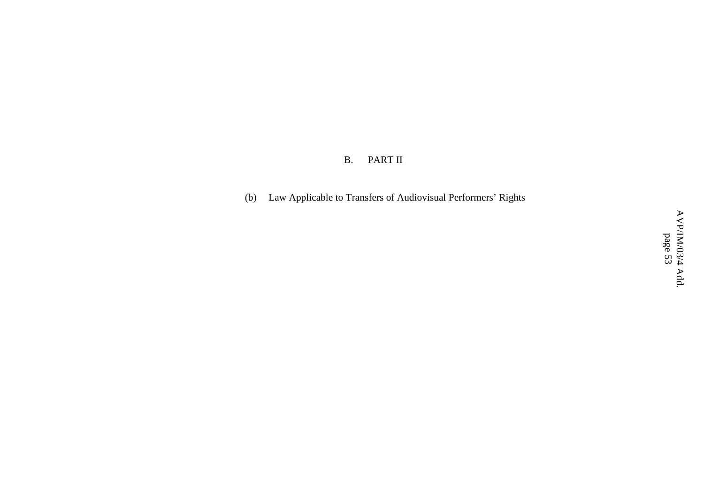#### B. PART II

(b) Law Applicable to Transfers of Audiovisual Performers' Rights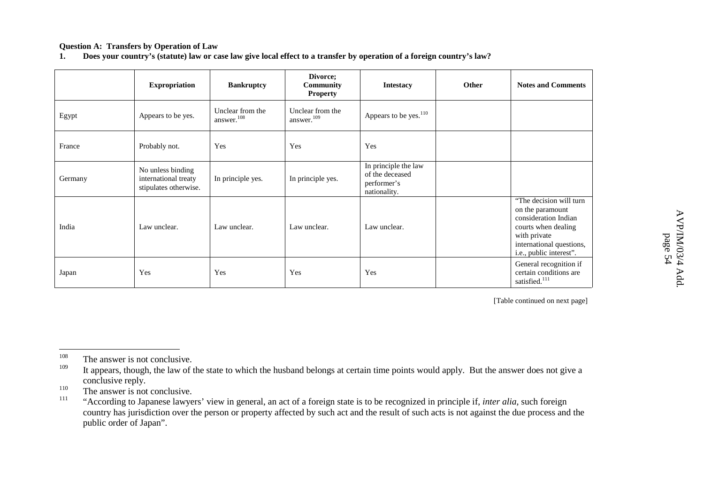#### **Question A: Transfers by Operation of Law**

**1.**. Does your country's (statute) law or case law give local effect to a transfer by operation of a foreign country's law?

|         | <b>Expropriation</b>                                               | <b>Bankruptcy</b>                          | Divorce;<br>Community<br><b>Property</b>   | <b>Intestacy</b>                                                       | Other | <b>Notes and Comments</b>                                                                                                                                         |
|---------|--------------------------------------------------------------------|--------------------------------------------|--------------------------------------------|------------------------------------------------------------------------|-------|-------------------------------------------------------------------------------------------------------------------------------------------------------------------|
| Egypt   | Appears to be yes.                                                 | Unclear from the<br>answer. <sup>108</sup> | Unclear from the<br>answer. <sup>109</sup> | Appears to be yes. <sup>110</sup>                                      |       |                                                                                                                                                                   |
| France  | Probably not.                                                      | Yes                                        | Yes                                        | Yes                                                                    |       |                                                                                                                                                                   |
| Germany | No unless binding<br>international treaty<br>stipulates otherwise. | In principle yes.                          | In principle yes.                          | In principle the law<br>of the deceased<br>performer's<br>nationality. |       |                                                                                                                                                                   |
| India   | Law unclear.                                                       | Law unclear.                               | Law unclear.                               | Law unclear.                                                           |       | "The decision will turn<br>on the paramount<br>consideration Indian<br>courts when dealing<br>with private<br>international questions,<br>i.e., public interest". |
| Japan   | Yes                                                                | Yes                                        | Yes                                        | Yes                                                                    |       | General recognition if<br>certain conditions are<br>satisfied. $^{111}$                                                                                           |

<sup>108</sup><sup>o</sup> The answer is not conclusive.

<sup>109</sup><sup>9</sup> It appears, though, the law of the state to which the husband belongs at certain time points would apply. But the answer does not give a conclusive reply.

<sup>110</sup><sup>9</sup> The answer is not conclusive.

<sup>111</sup> "According to Japanese lawyers' view in general, an act of <sup>a</sup> foreign state is to be recognized in principle if, *inter alia,* such foreign country has jurisdiction over the person or property affected by such act and the result of such acts is not against the due process and the public order of Japan".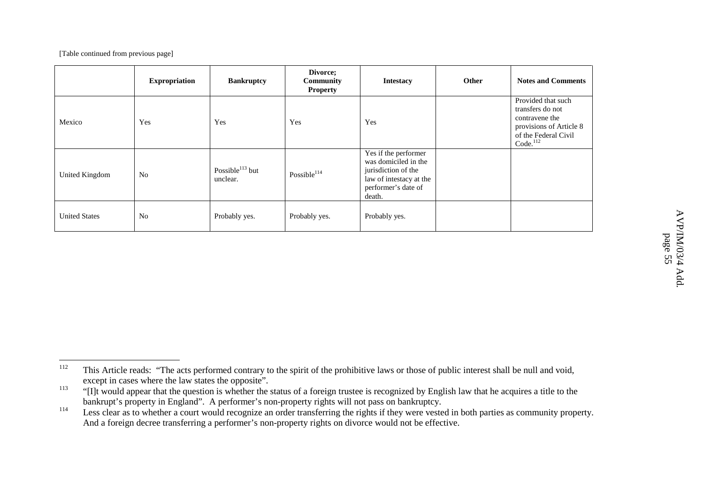|                      | <b>Expropriation</b> | <b>Bankruptcy</b>                       | Divorce;<br>Community<br><b>Property</b> | <b>Intestacy</b>                                                                                                                | Other | <b>Notes and Comments</b>                                                                                                           |
|----------------------|----------------------|-----------------------------------------|------------------------------------------|---------------------------------------------------------------------------------------------------------------------------------|-------|-------------------------------------------------------------------------------------------------------------------------------------|
| Mexico               | Yes                  | Yes                                     | Yes                                      | Yes                                                                                                                             |       | Provided that such<br>transfers do not<br>contravene the<br>provisions of Article 8<br>of the Federal Civil<br>Code. <sup>112</sup> |
| United Kingdom       | N <sub>o</sub>       | Possible <sup>113</sup> but<br>unclear. | Possible <sup>114</sup>                  | Yes if the performer<br>was domiciled in the<br>jurisdiction of the<br>law of intestacy at the<br>performer's date of<br>death. |       |                                                                                                                                     |
| <b>United States</b> | N <sub>0</sub>       | Probably yes.                           | Probably yes.                            | Probably yes.                                                                                                                   |       |                                                                                                                                     |

<sup>112</sup><sup>2</sup> This Article reads: "The acts performed contrary to the spirit of the prohibitive laws or those of public interest shall be null and void, excep<sup>t</sup> in cases where the law states the opposite".

<sup>113</sup> "[I]t would appear that the question is whether the status of <sup>a</sup> foreign trustee is recognized by English law that he acquires <sup>a</sup> title to the bankrupt's property in England". A performer's non-property rights will not pass on bankruptcy.

<sup>114</sup> Less clear as to whether <sup>a</sup> court would recognize an order transferring the rights if they were vested in both parties as community property. And <sup>a</sup> foreign decree transferring <sup>a</sup> performer's non-property rights on divorce would not be effective.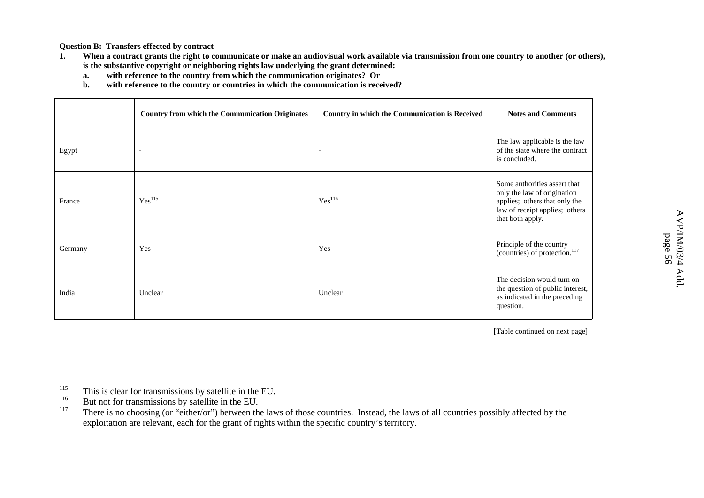Add.

**Question B: Transfers effected by contract**

- **1.**. When a contract grants the right to communicate or make an audiovisual work available via transmission from one country to another (or others), **is the substantive copyright or neighboring rights law underlying the grant determined:**
	- **a.with reference to the country from which the communication originates? Or**
	- **b.with reference to the country or countries in which the communication is received?**

|         | <b>Country from which the Communication Originates</b> | Country in which the Communication is Received | <b>Notes and Comments</b>                                                                                                                          |
|---------|--------------------------------------------------------|------------------------------------------------|----------------------------------------------------------------------------------------------------------------------------------------------------|
| Egypt   | $\overline{\phantom{a}}$                               |                                                | The law applicable is the law<br>of the state where the contract<br>is concluded.                                                                  |
| France  | Yes <sup>115</sup>                                     | Yes <sup>116</sup>                             | Some authorities assert that<br>only the law of origination<br>applies; others that only the<br>law of receipt applies; others<br>that both apply. |
| Germany | Yes                                                    | Yes                                            | Principle of the country<br>(countries) of protection. <sup>117</sup>                                                                              |
| India   | Unclear                                                | Unclear                                        | The decision would turn on<br>the question of public interest,<br>as indicated in the preceding<br>question.                                       |

<sup>115</sup><sup>3</sup> This is clear for transmissions by satellite in the EU.

<sup>116</sup><sup>o</sup> But not for transmissions by satellite in the EU.

<sup>117</sup> There is no choosing (or "either/or") between the laws of those countries. Instead, the laws of all countries possibly affected by the exploitation are relevant, each for the gran<sup>t</sup> of rights within the specific country's territory.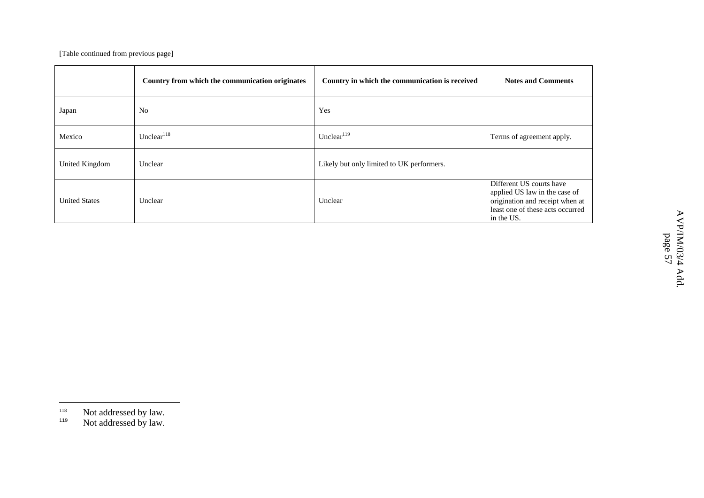|                      | Country from which the communication originates | Country in which the communication is received | <b>Notes and Comments</b>                                                                                                                      |
|----------------------|-------------------------------------------------|------------------------------------------------|------------------------------------------------------------------------------------------------------------------------------------------------|
| Japan                | N <sub>o</sub>                                  | Yes                                            |                                                                                                                                                |
| Mexico               | Unclear $118$                                   | Unclear $119$                                  | Terms of agreement apply.                                                                                                                      |
| United Kingdom       | Unclear                                         | Likely but only limited to UK performers.      |                                                                                                                                                |
| <b>United States</b> | Unclear                                         | Unclear                                        | Different US courts have<br>applied US law in the case of<br>origination and receipt when at<br>least one of these acts occurred<br>in the US. |

<sup>118</sup><sup>8</sup> Not addressed by law. 119

<sup>&</sup>lt;sup>9</sup> Not addressed by law.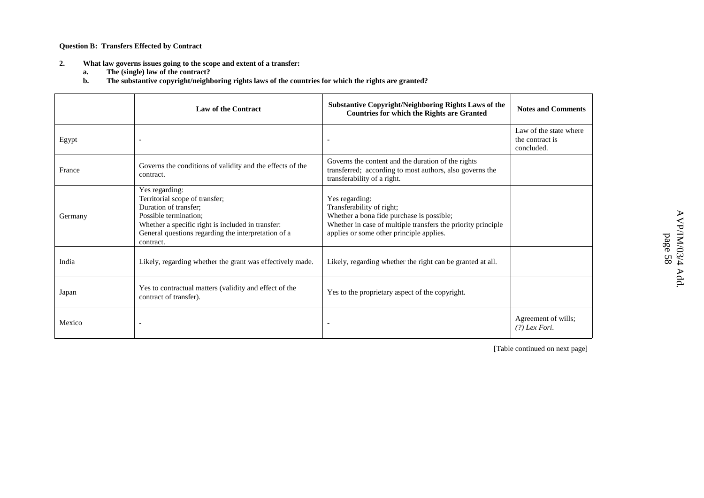**Question B: Transfers Effected by Contract**

- **2. What law governs issues going to the scope and extent of <sup>a</sup> transfer:**
	- **a.The (single) law of the contract?**
	- **b.The substantive copyright/neighboring rights laws of the countries for which the rights are granted?**

|         | <b>Law of the Contract</b>                                                                                                                                                                                                  | <b>Substantive Copyright/Neighboring Rights Laws of the</b><br><b>Countries for which the Rights are Granted</b>                                                                                     | <b>Notes and Comments</b>                               |
|---------|-----------------------------------------------------------------------------------------------------------------------------------------------------------------------------------------------------------------------------|------------------------------------------------------------------------------------------------------------------------------------------------------------------------------------------------------|---------------------------------------------------------|
| Egypt   |                                                                                                                                                                                                                             |                                                                                                                                                                                                      | Law of the state where<br>the contract is<br>concluded. |
| France  | Governs the conditions of validity and the effects of the<br>contract.                                                                                                                                                      | Governs the content and the duration of the rights<br>transferred; according to most authors, also governs the<br>transferability of a right.                                                        |                                                         |
| Germany | Yes regarding:<br>Territorial scope of transfer;<br>Duration of transfer;<br>Possible termination;<br>Whether a specific right is included in transfer:<br>General questions regarding the interpretation of a<br>contract. | Yes regarding:<br>Transferability of right;<br>Whether a bona fide purchase is possible;<br>Whether in case of multiple transfers the priority principle<br>applies or some other principle applies. |                                                         |
| India   | Likely, regarding whether the grant was effectively made.                                                                                                                                                                   | Likely, regarding whether the right can be granted at all.                                                                                                                                           |                                                         |
| Japan   | Yes to contractual matters (validity and effect of the<br>contract of transfer).                                                                                                                                            | Yes to the proprietary aspect of the copyright.                                                                                                                                                      |                                                         |
| Mexico  |                                                                                                                                                                                                                             |                                                                                                                                                                                                      | Agreement of wills;<br>$(?)$ Lex Fori.                  |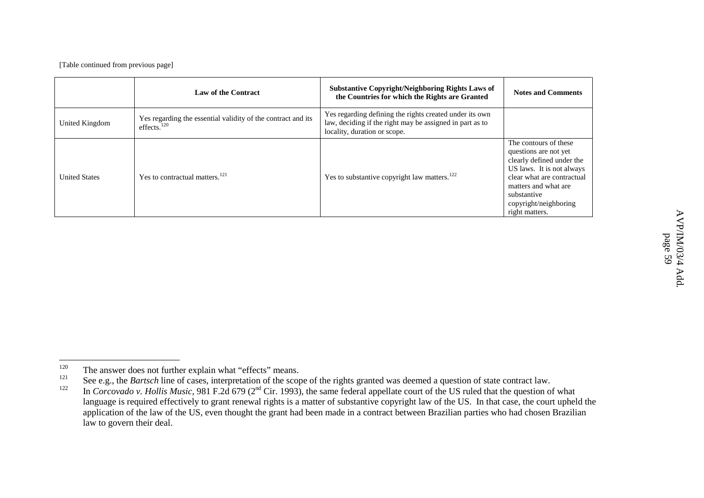|                      | <b>Law of the Contract</b>                                                              | <b>Substantive Copyright/Neighboring Rights Laws of</b><br>the Countries for which the Rights are Granted                                           | <b>Notes and Comments</b>                                                                                                                                                                                                |
|----------------------|-----------------------------------------------------------------------------------------|-----------------------------------------------------------------------------------------------------------------------------------------------------|--------------------------------------------------------------------------------------------------------------------------------------------------------------------------------------------------------------------------|
| United Kingdom       | Yes regarding the essential validity of the contract and its<br>effects. <sup>120</sup> | Yes regarding defining the rights created under its own<br>law, deciding if the right may be assigned in part as to<br>locality, duration or scope. |                                                                                                                                                                                                                          |
| <b>United States</b> | Yes to contractual matters. <sup>121</sup>                                              | Yes to substantive copyright law matters. <sup>122</sup>                                                                                            | The contours of these<br>questions are not yet<br>clearly defined under the<br>US laws. It is not always<br>clear what are contractual<br>matters and what are<br>substantive<br>copyright/neighboring<br>right matters. |

<sup>120</sup><sup>0</sup> The answer does not further explain what "effects" means.

<sup>121</sup>See e.g., the *Bartsch* line of cases, interpretation of the scope of the rights granted was deemed <sup>a</sup> question of state contract law.

<sup>122</sup><sup>2</sup> In *Corcovado v. Hollis Music*, 981 F.2d 679 (2<sup>nd</sup> Cir. 1993), the same federal appellate court of the US ruled that the question of what language is required effectively to gran<sup>t</sup> renewal rights is <sup>a</sup> matter of substantive copyright law of the US. In that case, the court upheld the application of the law of the US, even thought the gran<sup>t</sup> had been made in <sup>a</sup> contract between Brazilian parties who had chosen Brazilian law to govern their deal.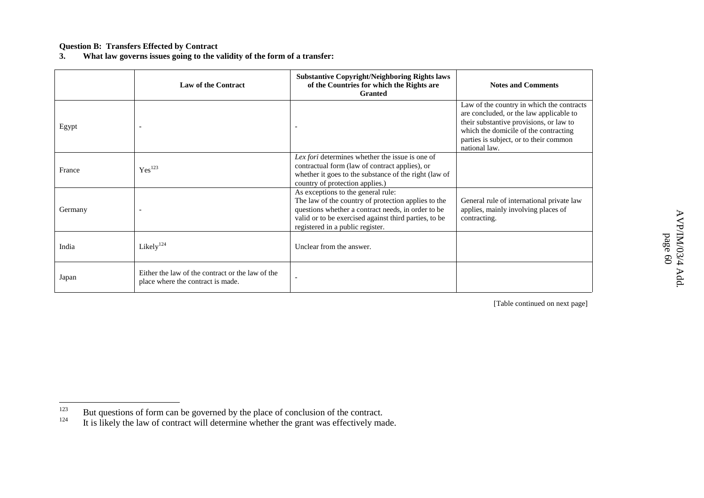#### **Question B: Transfers Effected by Contract**

**3. What law governs issues going to the validity of the form of <sup>a</sup> transfer:**

|         | <b>Law of the Contract</b>                                                            | <b>Substantive Copyright/Neighboring Rights laws</b><br>of the Countries for which the Rights are<br><b>Granted</b>                                                                                                                          | <b>Notes and Comments</b>                                                                                                                                                                                                           |
|---------|---------------------------------------------------------------------------------------|----------------------------------------------------------------------------------------------------------------------------------------------------------------------------------------------------------------------------------------------|-------------------------------------------------------------------------------------------------------------------------------------------------------------------------------------------------------------------------------------|
| Egypt   |                                                                                       |                                                                                                                                                                                                                                              | Law of the country in which the contracts<br>are concluded, or the law applicable to<br>their substantive provisions, or law to<br>which the domicile of the contracting<br>parties is subject, or to their common<br>national law. |
| France  | Yes <sup>123</sup>                                                                    | Lex fori determines whether the issue is one of<br>contractual form (law of contract applies), or<br>whether it goes to the substance of the right (law of<br>country of protection applies.)                                                |                                                                                                                                                                                                                                     |
| Germany |                                                                                       | As exceptions to the general rule:<br>The law of the country of protection applies to the<br>questions whether a contract needs, in order to be<br>valid or to be exercised against third parties, to be<br>registered in a public register. | General rule of international private law<br>applies, mainly involving places of<br>contracting.                                                                                                                                    |
| India   | Likely $124$                                                                          | Unclear from the answer.                                                                                                                                                                                                                     |                                                                                                                                                                                                                                     |
| Japan   | Either the law of the contract or the law of the<br>place where the contract is made. |                                                                                                                                                                                                                                              |                                                                                                                                                                                                                                     |

<sup>123</sup>But questions of form can be governed by the place of conclusion of the contract.

<sup>124</sup><sup>4</sup> It is likely the law of contract will determine whether the grant was effectively made.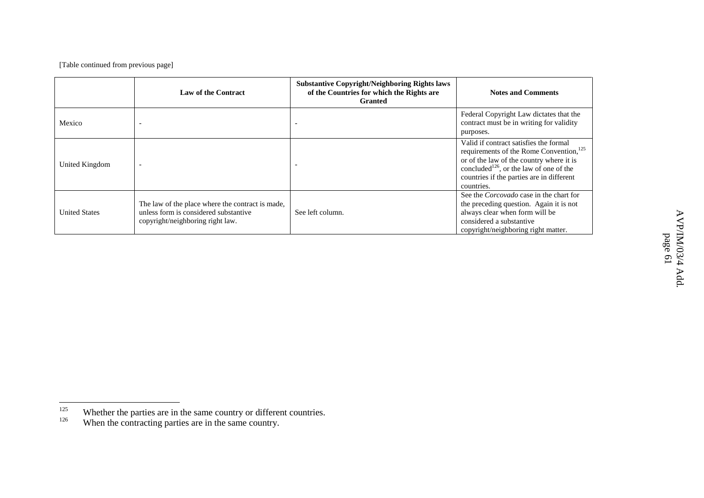|                      | <b>Law of the Contract</b>                                                                                                    | <b>Substantive Copyright/Neighboring Rights laws</b><br>of the Countries for which the Rights are<br><b>Granted</b> | <b>Notes and Comments</b>                                                                                                                                                                                                                                   |
|----------------------|-------------------------------------------------------------------------------------------------------------------------------|---------------------------------------------------------------------------------------------------------------------|-------------------------------------------------------------------------------------------------------------------------------------------------------------------------------------------------------------------------------------------------------------|
| Mexico               |                                                                                                                               |                                                                                                                     | Federal Copyright Law dictates that the<br>contract must be in writing for validity<br>purposes.                                                                                                                                                            |
| United Kingdom       |                                                                                                                               |                                                                                                                     | Valid if contract satisfies the formal<br>requirements of the Rome Convention, <sup>125</sup><br>or of the law of the country where it is<br>concluded <sup>126</sup> , or the law of one of the<br>countries if the parties are in different<br>countries. |
| <b>United States</b> | The law of the place where the contract is made,<br>unless form is considered substantive<br>copyright/neighboring right law. | See left column.                                                                                                    | See the <i>Corcovado</i> case in the chart for<br>the preceding question. Again it is not<br>always clear when form will be<br>considered a substantive<br>copyright/neighboring right matter.                                                              |

<sup>125</sup>Whether the parties are in the same country or different countries.

<sup>126</sup><sup>o</sup> When the contracting parties are in the same country.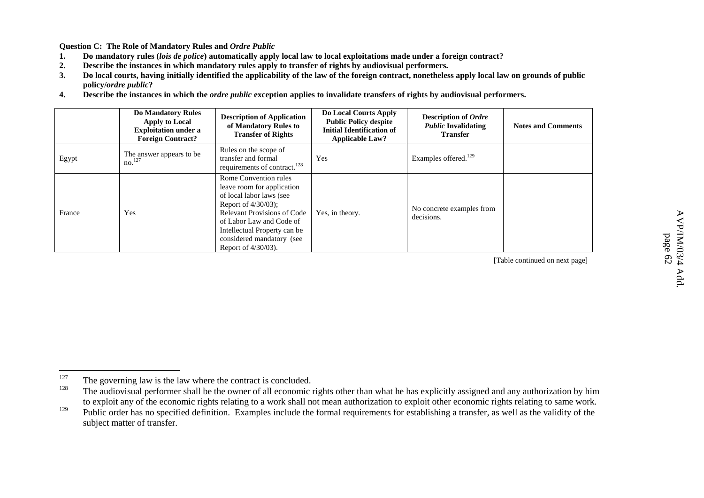**Question C: The Role of Mandatory Rules and** *Ordre Public*

- **1.**. Do mandatory rules (lois de police) automatically apply local law to local exploitations made under a foreign contract?
- **2.Describe the instances in which mandatory rules apply to transfer of rights by audiovisual performers.**
- **3.**. Do local courts, having initially identified the applicability of the law of the foreign contract, nonetheless apply local law on grounds of public **policy/***ordre public***?**
- **4.**. Describe the instances in which the *ordre public* exception applies to invalidate transfers of rights by audiovisual performers.

|        | <b>Do Mandatory Rules</b><br>Apply to Local<br><b>Exploitation under a</b><br><b>Foreign Contract?</b> | <b>Description of Application</b><br>of Mandatory Rules to<br><b>Transfer of Rights</b>                                                                                                                                                                        | Do Local Courts Apply<br><b>Public Policy despite</b><br><b>Initial Identification of</b><br><b>Applicable Law?</b> | <b>Description of Ordre</b><br><b><i>Public</i></b> Invalidating<br><b>Transfer</b> | <b>Notes and Comments</b> |
|--------|--------------------------------------------------------------------------------------------------------|----------------------------------------------------------------------------------------------------------------------------------------------------------------------------------------------------------------------------------------------------------------|---------------------------------------------------------------------------------------------------------------------|-------------------------------------------------------------------------------------|---------------------------|
| Egypt  | The answer appears to be<br>no. <sup>127</sup>                                                         | Rules on the scope of<br>transfer and formal<br>requirements of contract. <sup>128</sup>                                                                                                                                                                       | Yes                                                                                                                 | Examples offered. <sup>129</sup>                                                    |                           |
| France | Yes                                                                                                    | Rome Convention rules<br>leave room for application<br>of local labor laws (see<br>Report of $4/30/03$ ;<br><b>Relevant Provisions of Code</b><br>of Labor Law and Code of<br>Intellectual Property can be<br>considered mandatory (see<br>Report of 4/30/03). | Yes, in theory.                                                                                                     | No concrete examples from<br>decisions.                                             |                           |

[Table continued on next page]

 $\triangleright$ 

<sup>127</sup>The governing law is the law where the contract is concluded.

<sup>128</sup> The audiovisual performer shall be the owner of all economic rights other than what he has explicitly assigned and any authorization by him to exploit any of the economic rights relating to <sup>a</sup> work shall not mean authorization to exploit other economic rights relating to same work.

<sup>129</sup>Public order has no specified definition. Examples include the formal requirements for establishing a transfer, as well as the validity of the subject matter of transfer.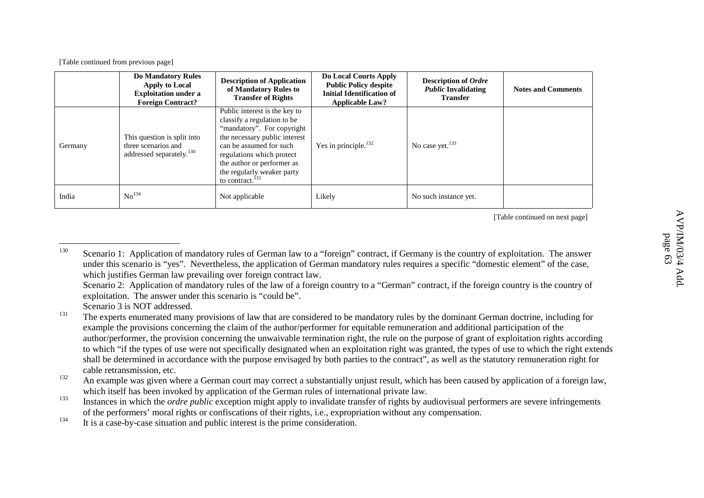|         | <b>Do Mandatory Rules</b><br>Apply to Local<br><b>Exploitation under a</b><br><b>Foreign Contract?</b> | <b>Description of Application</b><br>of Mandatory Rules to<br><b>Transfer of Rights</b>                                                                                                                                                                                                     | Do Local Courts Apply<br><b>Public Policy despite</b><br><b>Initial Identification of</b><br><b>Applicable Law?</b> | <b>Description of Ordre</b><br><b><i>Public</i></b> Invalidating<br><b>Transfer</b> | <b>Notes and Comments</b> |
|---------|--------------------------------------------------------------------------------------------------------|---------------------------------------------------------------------------------------------------------------------------------------------------------------------------------------------------------------------------------------------------------------------------------------------|---------------------------------------------------------------------------------------------------------------------|-------------------------------------------------------------------------------------|---------------------------|
| Germany | This question is split into<br>three scenarios and<br>addressed separately. <sup>130</sup>             | Public interest is the key to<br>classify a regulation to be<br>"mandatory". For copyright<br>the necessary public interest<br>can be assumed for such<br>regulations which protect<br>the author or performer as<br>the regularly weaker party<br>to contract. <sup><math>131</math></sup> | Yes in principle. <sup>132</sup>                                                                                    | No case yet. <sup>133</sup>                                                         |                           |
| India   | No <sup>134</sup>                                                                                      | Not applicable                                                                                                                                                                                                                                                                              | Likely                                                                                                              | No such instance yet.                                                               |                           |

[Table continued on next page]

Scenario 2: Application of mandatory rules of the law of <sup>a</sup> foreign country to <sup>a</sup> "German" contract, if the foreign country is the country of exploitation. The answer under this scenario is "could be".

Scenario 3 is NOT addressed.

<sup>130</sup>Scenario 1: Application of mandatory rules of German law to a "foreign" contract, if Germany is the country of exploitation. The answer under this scenario is "yes". Nevertheless, the application of German mandatory rules requires <sup>a</sup> specific "domestic element" of the case, which justifies German law prevailing over foreign contract law.

<sup>131</sup><sup>1</sup> The experts enumerated many provisions of law that are considered to be mandatory rules by the dominant German doctrine, including for example the provisions concerning the claim of the author/performer for equitable remuneration and additional participation of the author/performer, the provision concerning the unwaivable termination right, the rule on the purpose of gran<sup>t</sup> of exploitation rights according to which "if the types of use were not specifically designated when an exploitation right was granted, the types of use to which the right extends shall be determined in accordance with the purpose envisaged by both parties to the contract", as well as the statutory remuneration right for cable retransmission, etc.

<sup>132</sup>An example was given where a German court may correct a substantially unjust result, which has been caused by application of a foreign law, which itself has been invoked by application of the German rules of international private law.

<sup>133</sup> Instances in which the *ordre public* exception might apply to invalidate transfer of rights by audiovisual performers are severe infringements of the performers' moral rights or confiscations of their rights, i.e., expropriation without any compensation.

<sup>134</sup><sup>4</sup> It is a case-by-case situation and public interest is the prime consideration.